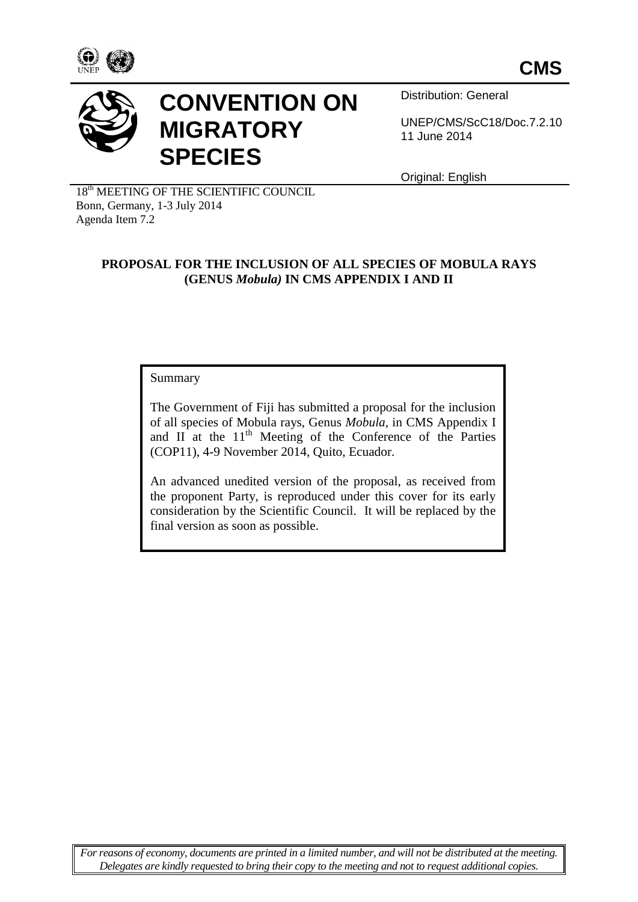



# **CONVENTION ON MIGRATORY SPECIES**

Distribution: General

UNEP/CMS/ScC18/Doc.7.2.10 11 June 2014

Original: English

18<sup>th</sup> MEETING OF THE SCIENTIFIC COUNCIL Bonn, Germany, 1-3 July 2014 Agenda Item 7.2

# **PROPOSAL FOR THE INCLUSION OF ALL SPECIES OF MOBULA RAYS (GENUS** *Mobula)* **IN CMS APPENDIX I AND II**

### Summary

The Government of Fiji has submitted a proposal for the inclusion of all species of Mobula rays, Genus *Mobula*, in CMS Appendix I and  $II$  at the  $11<sup>th</sup>$  Meeting of the Conference of the Parties (COP11), 4-9 November 2014, Quito, Ecuador.

An advanced unedited version of the proposal, as received from the proponent Party, is reproduced under this cover for its early consideration by the Scientific Council. It will be replaced by the final version as soon as possible.

*For reasons of economy, documents are printed in a limited number, and will not be distributed at the meeting. Delegates are kindly requested to bring their copy to the meeting and not to request additional copies.*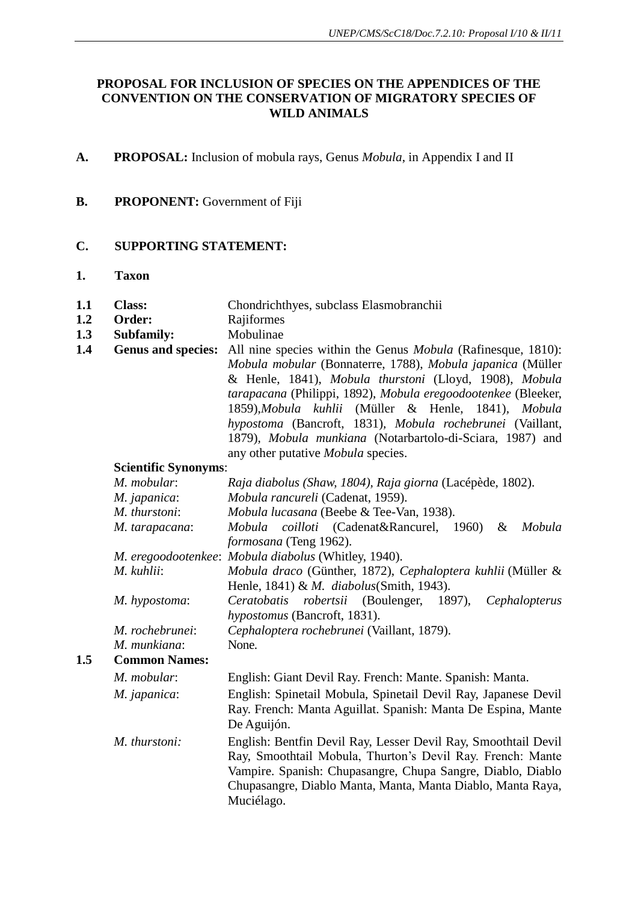# **PROPOSAL FOR INCLUSION OF SPECIES ON THE APPENDICES OF THE CONVENTION ON THE CONSERVATION OF MIGRATORY SPECIES OF WILD ANIMALS**

- **A. PROPOSAL:** Inclusion of mobula rays, Genus *Mobula*, in Appendix I and II
- **B. PROPONENT:** Government of Fiji

# **C. SUPPORTING STATEMENT:**

**1. Taxon**

**1.5 Common Names:**

| 1.1 | <b>Class:</b> | Chondrichthyes, subclass Elasmobranchii |  |  |
|-----|---------------|-----------------------------------------|--|--|
|-----|---------------|-----------------------------------------|--|--|

- **1.2 Order:** Rajiformes
- **1.3 Subfamily:** Mobulinae
- **1.4 Genus and species:** All nine species within the Genus *Mobula* (Rafinesque, 1810): *Mobula mobular* (Bonnaterre, 1788), *Mobula japanica* (Müller & Henle, 1841), *Mobula thurstoni* (Lloyd, 1908), *Mobula tarapacana* (Philippi, 1892), *Mobula eregoodootenkee* (Bleeker, 1859),*Mobula kuhlii* (Müller & Henle, 1841)*, Mobula hypostoma* (Bancroft, 1831)*, Mobula rochebrunei* (Vaillant, 1879)*, Mobula munkiana* (Notarbartolo-di-Sciara, 1987) and any other putative *Mobula* species.

### **Scientific Synonyms**:

| M. mobular:          | Raja diabolus (Shaw, 1804), Raja giorna (Lacépède, 1802).                                                                                                                                                                                                                |  |  |  |  |  |
|----------------------|--------------------------------------------------------------------------------------------------------------------------------------------------------------------------------------------------------------------------------------------------------------------------|--|--|--|--|--|
| M. japanica:         | Mobula rancureli (Cadenat, 1959).                                                                                                                                                                                                                                        |  |  |  |  |  |
| M. thurstoni:        | Mobula lucasana (Beebe & Tee-Van, 1938).                                                                                                                                                                                                                                 |  |  |  |  |  |
| M. tarapacana:       | <i>Mobula coilloti</i> (Cadenat&Rancurel, 1960)<br>Mobula<br>$\&$<br>formosana (Teng 1962).                                                                                                                                                                              |  |  |  |  |  |
|                      | M. eregoodootenkee: Mobula diabolus (Whitley, 1940).                                                                                                                                                                                                                     |  |  |  |  |  |
|                      |                                                                                                                                                                                                                                                                          |  |  |  |  |  |
| M. kuhlii:           | Mobula draco (Günther, 1872), Cephaloptera kuhlii (Müller &<br>Henle, 1841) & M. diabolus(Smith, 1943).                                                                                                                                                                  |  |  |  |  |  |
| M. hypostoma:        | Ceratobatis robertsii (Boulenger, 1897),<br>Cephalopterus<br>hypostomus (Bancroft, 1831).                                                                                                                                                                                |  |  |  |  |  |
| M. rochebrunei:      | Cephaloptera rochebrunei (Vaillant, 1879).                                                                                                                                                                                                                               |  |  |  |  |  |
| M. munkiana:         | None.                                                                                                                                                                                                                                                                    |  |  |  |  |  |
| <b>Common Names:</b> |                                                                                                                                                                                                                                                                          |  |  |  |  |  |
| M. mobular:          | English: Giant Devil Ray. French: Mante. Spanish: Manta.                                                                                                                                                                                                                 |  |  |  |  |  |
| M. japanica:         | English: Spinetail Mobula, Spinetail Devil Ray, Japanese Devil<br>Ray. French: Manta Aguillat. Spanish: Manta De Espina, Mante<br>De Aguijón.                                                                                                                            |  |  |  |  |  |
| M. thurstoni:        | English: Bentfin Devil Ray, Lesser Devil Ray, Smoothtail Devil<br>Ray, Smoothtail Mobula, Thurton's Devil Ray. French: Mante<br>Vampire. Spanish: Chupasangre, Chupa Sangre, Diablo, Diablo<br>Chupasangre, Diablo Manta, Manta, Manta Diablo, Manta Raya,<br>Muciélago. |  |  |  |  |  |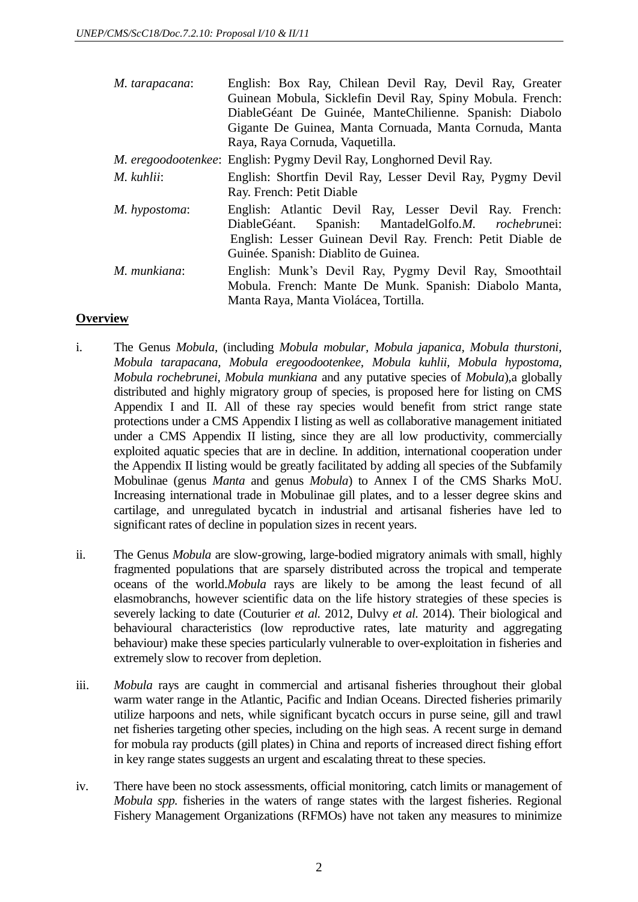| M. tarapacana: | English: Box Ray, Chilean Devil Ray, Devil Ray, Greater<br>Guinean Mobula, Sicklefin Devil Ray, Spiny Mobula. French:<br>DiableGéant De Guinée, ManteChilienne. Spanish: Diabolo<br>Gigante De Guinea, Manta Cornuada, Manta Cornuda, Manta<br>Raya, Raya Cornuda, Vaquetilla. |
|----------------|--------------------------------------------------------------------------------------------------------------------------------------------------------------------------------------------------------------------------------------------------------------------------------|
|                | <i>M. eregoodootenkee</i> : English: Pygmy Devil Ray, Longhorned Devil Ray.                                                                                                                                                                                                    |
| M. kuhlii:     | English: Shortfin Devil Ray, Lesser Devil Ray, Pygmy Devil<br>Ray. French: Petit Diable                                                                                                                                                                                        |
| M. hypostoma:  | English: Atlantic Devil Ray, Lesser Devil Ray. French:<br>Spanish: MantadelGolfo.M. rochebrunei:<br>DiableGéant.<br>English: Lesser Guinean Devil Ray. French: Petit Diable de<br>Guinée. Spanish: Diablito de Guinea.                                                         |
| M. munkiana:   | English: Munk's Devil Ray, Pygmy Devil Ray, Smoothtail<br>Mobula. French: Mante De Munk. Spanish: Diabolo Manta,<br>Manta Raya, Manta Violácea, Tortilla.                                                                                                                      |

## **Overview**

- i. The Genus *Mobula*, (including *Mobula mobular, Mobula japanica, Mobula thurstoni, Mobula tarapacana, Mobula eregoodootenkee, Mobula kuhlii, Mobula hypostoma, Mobula rochebrunei, Mobula munkiana* and any putative species of *Mobula*),a globally distributed and highly migratory group of species, is proposed here for listing on CMS Appendix I and II. All of these ray species would benefit from strict range state protections under a CMS Appendix I listing as well as collaborative management initiated under a CMS Appendix II listing, since they are all low productivity, commercially exploited aquatic species that are in decline. In addition, international cooperation under the Appendix II listing would be greatly facilitated by adding all species of the Subfamily Mobulinae (genus *Manta* and genus *Mobula*) to Annex I of the CMS Sharks MoU. Increasing international trade in Mobulinae gill plates, and to a lesser degree skins and cartilage, and unregulated bycatch in industrial and artisanal fisheries have led to significant rates of decline in population sizes in recent years.
- ii. The Genus *Mobula* are slow-growing, large-bodied migratory animals with small, highly fragmented populations that are sparsely distributed across the tropical and temperate oceans of the world.*Mobula* rays are likely to be among the least fecund of all elasmobranchs, however scientific data on the life history strategies of these species is severely lacking to date (Couturier *et al.* 2012, Dulvy *et al.* 2014). Their biological and behavioural characteristics (low reproductive rates, late maturity and aggregating behaviour) make these species particularly vulnerable to over-exploitation in fisheries and extremely slow to recover from depletion.
- iii. *Mobula* rays are caught in commercial and artisanal fisheries throughout their global warm water range in the Atlantic, Pacific and Indian Oceans. Directed fisheries primarily utilize harpoons and nets, while significant bycatch occurs in purse seine, gill and trawl net fisheries targeting other species, including on the high seas. A recent surge in demand for mobula ray products (gill plates) in China and reports of increased direct fishing effort in key range states suggests an urgent and escalating threat to these species.
- iv. There have been no stock assessments, official monitoring, catch limits or management of *Mobula spp.* fisheries in the waters of range states with the largest fisheries. Regional Fishery Management Organizations (RFMOs) have not taken any measures to minimize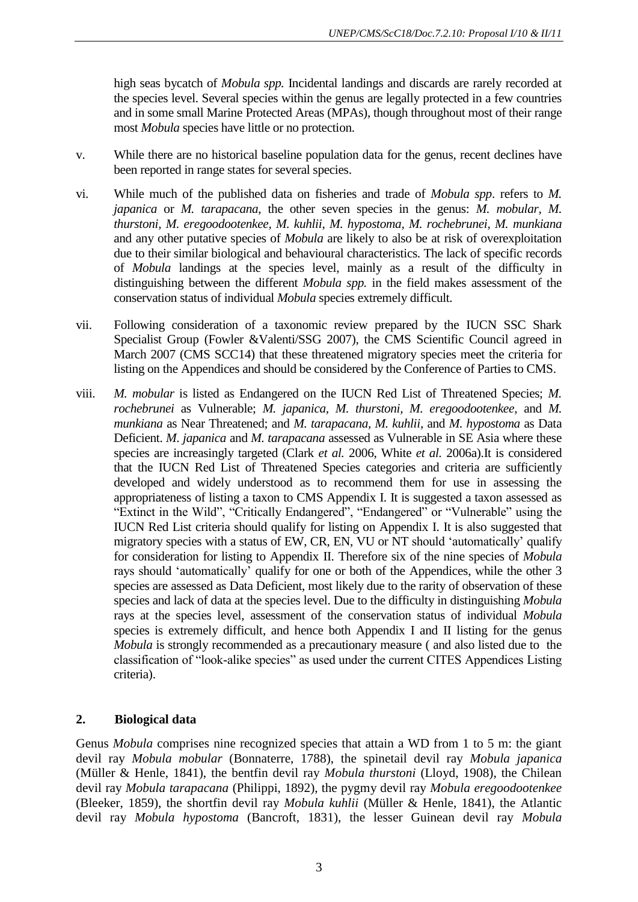high seas bycatch of *Mobula spp.* Incidental landings and discards are rarely recorded at the species level. Several species within the genus are legally protected in a few countries and in some small Marine Protected Areas (MPAs), though throughout most of their range most *Mobula* species have little or no protection.

- v. While there are no historical baseline population data for the genus, recent declines have been reported in range states for several species.
- vi. While much of the published data on fisheries and trade of *Mobula spp*. refers to *M. japanica* or *M. tarapacana*, the other seven species in the genus: *M. mobular, M. thurstoni, M. eregoodootenkee, M. kuhlii, M. hypostoma, M. rochebrunei, M. munkiana* and any other putative species of *Mobula* are likely to also be at risk of overexploitation due to their similar biological and behavioural characteristics. The lack of specific records of *Mobula* landings at the species level, mainly as a result of the difficulty in distinguishing between the different *Mobula spp.* in the field makes assessment of the conservation status of individual *Mobula* species extremely difficult.
- vii. Following consideration of a taxonomic review prepared by the IUCN SSC Shark Specialist Group (Fowler &Valenti/SSG 2007), the CMS Scientific Council agreed in March 2007 (CMS SCC14) that these threatened migratory species meet the criteria for listing on the Appendices and should be considered by the Conference of Parties to CMS.
- viii. *M. mobular* is listed as Endangered on the IUCN Red List of Threatened Species; *M. rochebrunei* as Vulnerable; *M. japanica, M. thurstoni, M. eregoodootenkee,* and *M. munkiana* as Near Threatened; and *M. tarapacana, M. kuhlii,* and *M. hypostoma* as Data Deficient. *M. japanica* and *M. tarapacana* assessed as Vulnerable in SE Asia where these species are increasingly targeted (Clark *et al.* 2006, White *et al.* 2006a).It is considered that the IUCN Red List of Threatened Species categories and criteria are sufficiently developed and widely understood as to recommend them for use in assessing the appropriateness of listing a taxon to CMS Appendix I. It is suggested a taxon assessed as "Extinct in the Wild", "Critically Endangered", "Endangered" or "Vulnerable" using the IUCN Red List criteria should qualify for listing on Appendix I. It is also suggested that migratory species with a status of EW, CR, EN, VU or NT should 'automatically' qualify for consideration for listing to Appendix II. Therefore six of the nine species of *Mobula* rays should 'automatically' qualify for one or both of the Appendices, while the other 3 species are assessed as Data Deficient, most likely due to the rarity of observation of these species and lack of data at the species level. Due to the difficulty in distinguishing *Mobula* rays at the species level, assessment of the conservation status of individual *Mobula* species is extremely difficult, and hence both Appendix I and II listing for the genus *Mobula* is strongly recommended as a precautionary measure ( and also listed due to the classification of "look-alike species" as used under the current CITES Appendices Listing criteria).

# **2. Biological data**

Genus *Mobula* comprises nine recognized species that attain a WD from 1 to 5 m: the giant devil ray *Mobula mobular* (Bonnaterre, 1788), the spinetail devil ray *Mobula japanica* (Müller & Henle, 1841), the bentfin devil ray *Mobula thurstoni* (Lloyd, 1908), the Chilean devil ray *Mobula tarapacana* (Philippi, 1892), the pygmy devil ray *Mobula eregoodootenkee* (Bleeker, 1859), the shortfin devil ray *Mobula kuhlii* (Müller & Henle, 1841), the Atlantic devil ray *Mobula hypostoma* (Bancroft, 1831), the lesser Guinean devil ray *Mobula*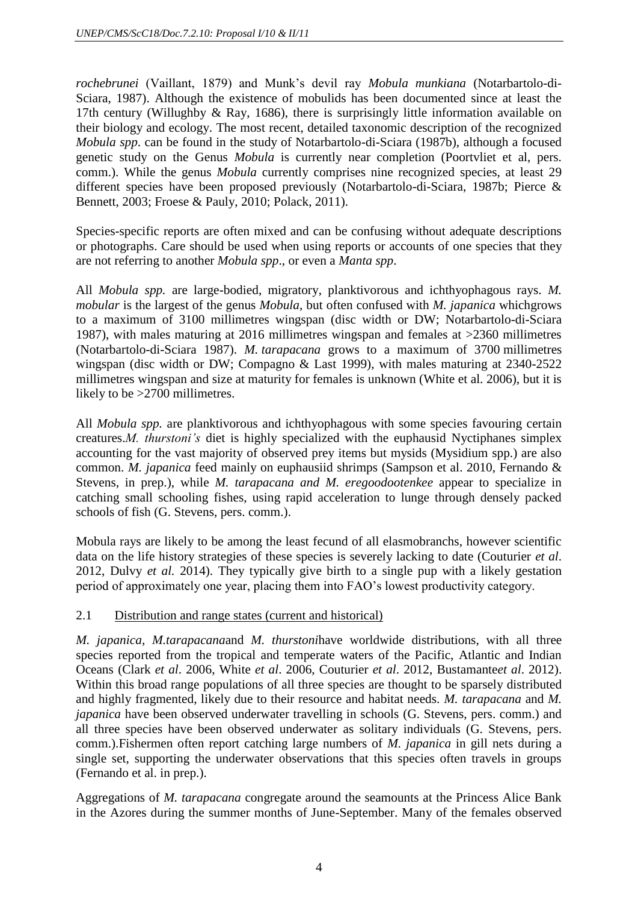*rochebrunei* (Vaillant, 1879) and Munk's devil ray *Mobula munkiana* (Notarbartolo-di-Sciara, 1987). Although the existence of mobulids has been documented since at least the 17th century (Willughby & Ray, 1686), there is surprisingly little information available on their biology and ecology. The most recent, detailed taxonomic description of the recognized *Mobula spp*. can be found in the study of Notarbartolo-di-Sciara (1987b), although a focused genetic study on the Genus *Mobula* is currently near completion (Poortvliet et al, pers. comm.). While the genus *Mobula* currently comprises nine recognized species, at least 29 different species have been proposed previously (Notarbartolo-di-Sciara, 1987b; Pierce & Bennett, 2003; Froese & Pauly, 2010; Polack, 2011).

Species-specific reports are often mixed and can be confusing without adequate descriptions or photographs. Care should be used when using reports or accounts of one species that they are not referring to another *Mobula spp*., or even a *Manta spp*.

All *Mobula spp.* are large-bodied, migratory, planktivorous and ichthyophagous rays. *M. mobular* is the largest of the genus *Mobula*, but often confused with *M. japanica* whichgrows to a maximum of 3100 millimetres wingspan (disc width or DW; Notarbartolo-di-Sciara 1987), with males maturing at 2016 millimetres wingspan and females at >2360 millimetres (Notarbartolo-di-Sciara 1987). *M. tarapacana* grows to a maximum of 3700 millimetres wingspan (disc width or DW; Compagno & Last 1999), with males maturing at 2340-2522 millimetres wingspan and size at maturity for females is unknown (White et al. 2006), but it is likely to be >2700 millimetres.

All *Mobula spp.* are planktivorous and ichthyophagous with some species favouring certain creatures.*M. thurstoni's* diet is highly specialized with the euphausid Nyctiphanes simplex accounting for the vast majority of observed prey items but mysids (Mysidium spp.) are also common. *M. japanica* feed mainly on euphausiid shrimps (Sampson et al. 2010, Fernando & Stevens, in prep.), while *M. tarapacana and M. eregoodootenkee* appear to specialize in catching small schooling fishes, using rapid acceleration to lunge through densely packed schools of fish (G. Stevens, pers. comm.).

Mobula rays are likely to be among the least fecund of all elasmobranchs, however scientific data on the life history strategies of these species is severely lacking to date (Couturier *et al*. 2012, Dulvy *et al.* 2014). They typically give birth to a single pup with a likely gestation period of approximately one year, placing them into FAO's lowest productivity category.

# 2.1 Distribution and range states (current and historical)

*M. japanica, M.tarapacana*and *M. thurstoni*have worldwide distributions, with all three species reported from the tropical and temperate waters of the Pacific, Atlantic and Indian Oceans (Clark *et al*. 2006, White *et al*. 2006, Couturier *et al*. 2012, Bustamante*et al*. 2012). Within this broad range populations of all three species are thought to be sparsely distributed and highly fragmented, likely due to their resource and habitat needs. *M. tarapacana* and *M. japanica* have been observed underwater travelling in schools (G. Stevens, pers. comm.) and all three species have been observed underwater as solitary individuals (G. Stevens, pers. comm.).Fishermen often report catching large numbers of *M. japanica* in gill nets during a single set, supporting the underwater observations that this species often travels in groups (Fernando et al. in prep.).

Aggregations of *M. tarapacana* congregate around the seamounts at the Princess Alice Bank in the Azores during the summer months of June-September. Many of the females observed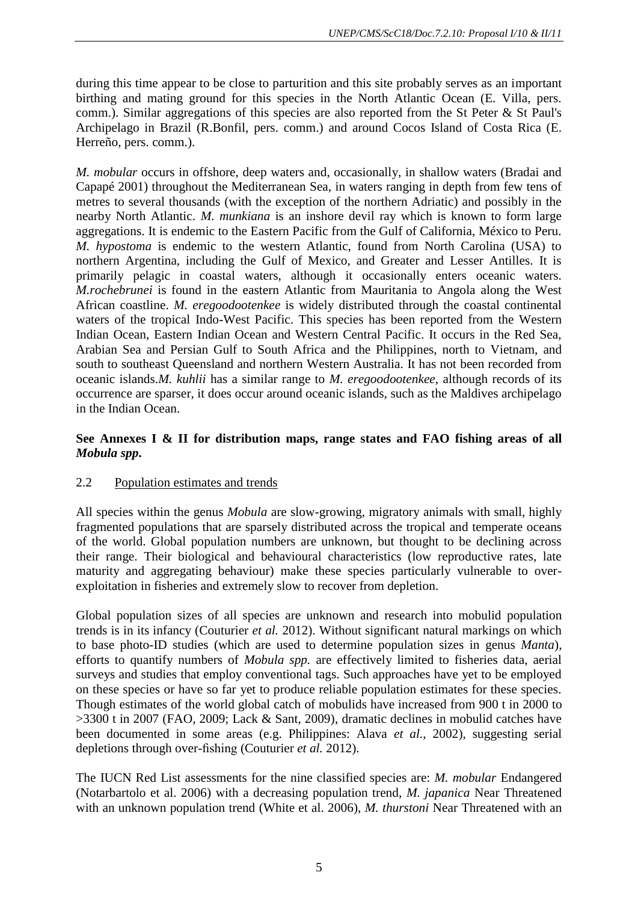during this time appear to be close to parturition and this site probably serves as an important birthing and mating ground for this species in the North Atlantic Ocean (E. Villa, pers. comm.). Similar aggregations of this species are also reported from the St Peter & St Paul's Archipelago in Brazil (R.Bonfil, pers. comm.) and around Cocos Island of Costa Rica (E. Herreño, pers. comm.).

*M. mobular* occurs in offshore, deep waters and, occasionally, in shallow waters (Bradai and Capapé 2001) throughout the Mediterranean Sea, in waters ranging in depth from few tens of metres to several thousands (with the exception of the northern Adriatic) and possibly in the nearby North Atlantic. *M. munkiana* is an inshore devil ray which is known to form large aggregations. It is endemic to the Eastern Pacific from the Gulf of California, México to Peru. *M. hypostoma* is endemic to the western Atlantic, found from North Carolina (USA) to northern Argentina, including the Gulf of Mexico, and Greater and Lesser Antilles. It is primarily pelagic in coastal waters, although it occasionally enters oceanic waters. *M.rochebrunei* is found in the eastern Atlantic from Mauritania to Angola along the West African coastline. *M. eregoodootenkee* is widely distributed through the coastal continental waters of the tropical Indo-West Pacific. This species has been reported from the Western Indian Ocean, Eastern Indian Ocean and Western Central Pacific. It occurs in the Red Sea, Arabian Sea and Persian Gulf to South Africa and the Philippines, north to Vietnam, and south to southeast Queensland and northern Western Australia. It has not been recorded from oceanic islands.*M. kuhlii* has a similar range to *M. eregoodootenkee*, although records of its occurrence are sparser, it does occur around oceanic islands, such as the Maldives archipelago in the Indian Ocean.

# **See Annexes I & II for distribution maps, range states and FAO fishing areas of all**  *Mobula spp***.**

# 2.2 Population estimates and trends

All species within the genus *Mobula* are slow-growing, migratory animals with small, highly fragmented populations that are sparsely distributed across the tropical and temperate oceans of the world. Global population numbers are unknown, but thought to be declining across their range. Their biological and behavioural characteristics (low reproductive rates, late maturity and aggregating behaviour) make these species particularly vulnerable to overexploitation in fisheries and extremely slow to recover from depletion.

Global population sizes of all species are unknown and research into mobulid population trends is in its infancy (Couturier *et al.* 2012). Without significant natural markings on which to base photo-ID studies (which are used to determine population sizes in genus *Manta*), efforts to quantify numbers of *Mobula spp.* are effectively limited to fisheries data, aerial surveys and studies that employ conventional tags. Such approaches have yet to be employed on these species or have so far yet to produce reliable population estimates for these species. Though estimates of the world global catch of mobulids have increased from 900 t in 2000 to >3300 t in 2007 (FAO, 2009; Lack & Sant, 2009), dramatic declines in mobulid catches have been documented in some areas (e.g. Philippines: Alava *et al.*, 2002), suggesting serial depletions through over-fishing (Couturier *et al.* 2012).

The IUCN Red List assessments for the nine classified species are: *M. mobular* Endangered (Notarbartolo et al. 2006) with a decreasing population trend, *M. japanica* Near Threatened with an unknown population trend (White et al. 2006), *M. thurstoni* Near Threatened with an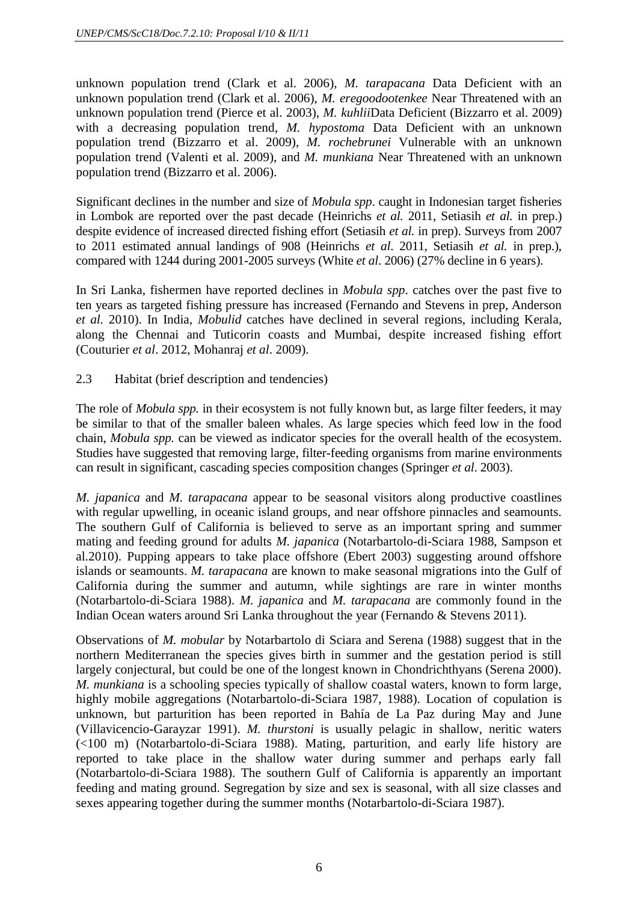unknown population trend (Clark et al. 2006), *M. tarapacana* Data Deficient with an unknown population trend (Clark et al. 2006), *M. eregoodootenkee* Near Threatened with an unknown population trend (Pierce et al. 2003), *M. kuhlii*Data Deficient (Bizzarro et al. 2009) with a decreasing population trend, *M. hypostoma* Data Deficient with an unknown population trend (Bizzarro et al. 2009), *M. rochebrunei* Vulnerable with an unknown population trend (Valenti et al. 2009), and *M. munkiana* Near Threatened with an unknown population trend (Bizzarro et al. 2006).

Significant declines in the number and size of *Mobula spp*. caught in Indonesian target fisheries in Lombok are reported over the past decade (Heinrichs *et al.* 2011, Setiasih *et al.* in prep.) despite evidence of increased directed fishing effort (Setiasih *et al.* in prep). Surveys from 2007 to 2011 estimated annual landings of 908 (Heinrichs *et al*. 2011, Setiasih *et al.* in prep.), compared with 1244 during 2001-2005 surveys (White *et al*. 2006) (27% decline in 6 years).

In Sri Lanka, fishermen have reported declines in *Mobula spp*. catches over the past five to ten years as targeted fishing pressure has increased (Fernando and Stevens in prep, Anderson *et al.* 2010). In India, *Mobulid* catches have declined in several regions, including Kerala, along the Chennai and Tuticorin coasts and Mumbai, despite increased fishing effort (Couturier *et al*. 2012, Mohanraj *et al*. 2009).

2.3 Habitat (brief description and tendencies)

The role of *Mobula spp.* in their ecosystem is not fully known but, as large filter feeders, it may be similar to that of the smaller baleen whales. As large species which feed low in the food chain, *Mobula spp.* can be viewed as indicator species for the overall health of the ecosystem. Studies have suggested that removing large, filter-feeding organisms from marine environments can result in significant, cascading species composition changes (Springer *et al*. 2003).

*M. japanica* and *M. tarapacana* appear to be seasonal visitors along productive coastlines with regular upwelling, in oceanic island groups, and near offshore pinnacles and seamounts. The southern Gulf of California is believed to serve as an important spring and summer mating and feeding ground for adults *M. japanica* (Notarbartolo-di-Sciara 1988, Sampson et al.2010). Pupping appears to take place offshore (Ebert 2003) suggesting around offshore islands or seamounts. *M. tarapacana* are known to make seasonal migrations into the Gulf of California during the summer and autumn, while sightings are rare in winter months (Notarbartolo-di-Sciara 1988). *M. japanica* and *M. tarapacana* are commonly found in the Indian Ocean waters around Sri Lanka throughout the year (Fernando & Stevens 2011).

Observations of *M. mobular* by Notarbartolo di Sciara and Serena (1988) suggest that in the northern Mediterranean the species gives birth in summer and the gestation period is still largely conjectural, but could be one of the longest known in Chondrichthyans (Serena 2000). *M. munkiana* is a schooling species typically of shallow coastal waters, known to form large, highly mobile aggregations (Notarbartolo-di-Sciara 1987, 1988). Location of copulation is unknown, but parturition has been reported in Bahía de La Paz during May and June (Villavicencio-Garayzar 1991). *M. thurstoni* is usually pelagic in shallow, neritic waters (<100 m) (Notarbartolo-di-Sciara 1988). Mating, parturition, and early life history are reported to take place in the shallow water during summer and perhaps early fall (Notarbartolo-di-Sciara 1988). The southern Gulf of California is apparently an important feeding and mating ground. Segregation by size and sex is seasonal, with all size classes and sexes appearing together during the summer months (Notarbartolo-di-Sciara 1987).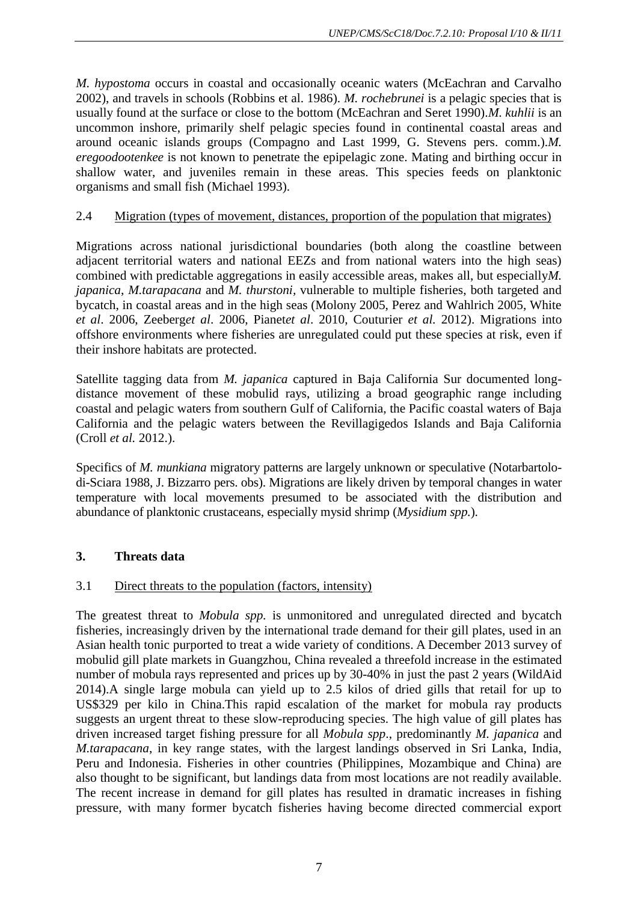*M. hypostoma* occurs in coastal and occasionally oceanic waters (McEachran and Carvalho 2002), and travels in schools (Robbins et al. 1986). *M. rochebrunei* is a pelagic species that is usually found at the surface or close to the bottom (McEachran and Seret 1990).*M. kuhlii* is an uncommon inshore, primarily shelf pelagic species found in continental coastal areas and around oceanic islands groups (Compagno and Last 1999, G. Stevens pers. comm.).*M. eregoodootenkee* is not known to penetrate the epipelagic zone. Mating and birthing occur in shallow water, and juveniles remain in these areas. This species feeds on planktonic organisms and small fish (Michael 1993).

# 2.4 Migration (types of movement, distances, proportion of the population that migrates)

Migrations across national jurisdictional boundaries (both along the coastline between adjacent territorial waters and national EEZs and from national waters into the high seas) combined with predictable aggregations in easily accessible areas, makes all, but especially*M. japanica*, *M.tarapacana* and *M. thurstoni,* vulnerable to multiple fisheries, both targeted and bycatch, in coastal areas and in the high seas (Molony 2005, Perez and Wahlrich 2005, White *et al*. 2006, Zeeberg*et al*. 2006, Pianet*et al*. 2010, Couturier *et al.* 2012). Migrations into offshore environments where fisheries are unregulated could put these species at risk, even if their inshore habitats are protected.

Satellite tagging data from *M. japanica* captured in Baja California Sur documented longdistance movement of these mobulid rays, utilizing a broad geographic range including coastal and pelagic waters from southern Gulf of California, the Pacific coastal waters of Baja California and the pelagic waters between the Revillagigedos Islands and Baja California (Croll *et al.* 2012.).

Specifics of *M. munkiana* migratory patterns are largely unknown or speculative (Notarbartolodi-Sciara 1988, J. Bizzarro pers. obs). Migrations are likely driven by temporal changes in water temperature with local movements presumed to be associated with the distribution and abundance of planktonic crustaceans, especially mysid shrimp (*Mysidium spp.*).

# **3. Threats data**

# 3.1 Direct threats to the population (factors, intensity)

The greatest threat to *Mobula spp.* is unmonitored and unregulated directed and bycatch fisheries, increasingly driven by the international trade demand for their gill plates, used in an Asian health tonic purported to treat a wide variety of conditions. A December 2013 survey of mobulid gill plate markets in Guangzhou, China revealed a threefold increase in the estimated number of mobula rays represented and prices up by 30-40% in just the past 2 years (WildAid 2014).A single large mobula can yield up to 2.5 kilos of dried gills that retail for up to US\$329 per kilo in China.This rapid escalation of the market for mobula ray products suggests an urgent threat to these slow-reproducing species. The high value of gill plates has driven increased target fishing pressure for all *Mobula spp*., predominantly *M. japanica* and *M.tarapacana*, in key range states, with the largest landings observed in Sri Lanka, India, Peru and Indonesia. Fisheries in other countries (Philippines, Mozambique and China) are also thought to be significant, but landings data from most locations are not readily available. The recent increase in demand for gill plates has resulted in dramatic increases in fishing pressure, with many former bycatch fisheries having become directed commercial export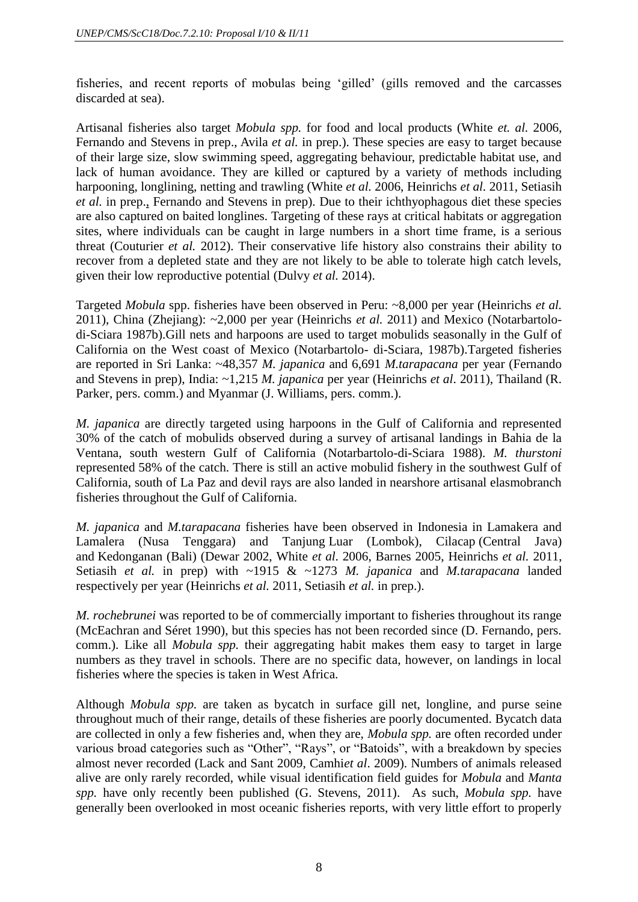fisheries, and recent reports of mobulas being 'gilled' (gills removed and the carcasses discarded at sea).

Artisanal fisheries also target *Mobula spp.* for food and local products (White *et. al.* 2006, Fernando and Stevens in prep., Avila *et al.* in prep.). These species are easy to target because of their large size, slow swimming speed, aggregating behaviour, predictable habitat use, and lack of human avoidance. They are killed or captured by a variety of methods including harpooning, longlining, netting and trawling (White *et al.* 2006, Heinrichs *et al.* 2011, Setiasih *et al.* in prep., Fernando and Stevens in prep). Due to their ichthyophagous diet these species are also captured on baited longlines. Targeting of these rays at critical habitats or aggregation sites, where individuals can be caught in large numbers in a short time frame, is a serious threat (Couturier *et al.* 2012). Their conservative life history also constrains their ability to recover from a depleted state and they are not likely to be able to tolerate high catch levels, given their low reproductive potential (Dulvy *et al.* 2014).

Targeted *Mobula* spp. fisheries have been observed in Peru: ~8,000 per year (Heinrichs *et al.* 2011), China (Zhejiang): ~2,000 per year (Heinrichs *et al.* 2011) and Mexico (Notarbartolodi-Sciara 1987b).Gill nets and harpoons are used to target mobulids seasonally in the Gulf of California on the West coast of Mexico (Notarbartolo- di-Sciara, 1987b).Targeted fisheries are reported in Sri Lanka: ~48,357 *M. japanica* and 6,691 *M.tarapacana* per year (Fernando and Stevens in prep), India: ~1,215 *M. japanica* per year (Heinrichs *et al*. 2011), Thailand (R. Parker, pers. comm.) and Myanmar (J. Williams, pers. comm.).

*M. japanica* are directly targeted using harpoons in the Gulf of California and represented 30% of the catch of mobulids observed during a survey of artisanal landings in Bahia de la Ventana, south western Gulf of California (Notarbartolo-di-Sciara 1988). *M. thurstoni* represented 58% of the catch. There is still an active mobulid fishery in the southwest Gulf of California, south of La Paz and devil rays are also landed in nearshore artisanal elasmobranch fisheries throughout the Gulf of California.

*M. japanica* and *M.tarapacana* fisheries have been observed in Indonesia in Lamakera and Lamalera (Nusa Tenggara) and Tanjung Luar (Lombok), Cilacap (Central Java) and Kedonganan (Bali) (Dewar 2002, White *et al*. 2006, Barnes 2005, Heinrichs *et al.* 2011, Setiasih *et al.* in prep) with ~1915 & ~1273 *M. japanica* and *M.tarapacana* landed respectively per year (Heinrichs *et al.* 2011, Setiasih *et al.* in prep.).

*M. rochebrunei* was reported to be of commercially important to fisheries throughout its range (McEachran and Séret 1990), but this species has not been recorded since (D. Fernando, pers. comm.). Like all *Mobula spp.* their aggregating habit makes them easy to target in large numbers as they travel in schools. There are no specific data, however, on landings in local fisheries where the species is taken in West Africa.

Although *Mobula spp.* are taken as bycatch in surface gill net, longline, and purse seine throughout much of their range, details of these fisheries are poorly documented. Bycatch data are collected in only a few fisheries and, when they are, *Mobula spp.* are often recorded under various broad categories such as "Other", "Rays", or "Batoids", with a breakdown by species almost never recorded (Lack and Sant 2009, Camhi*et al*. 2009). Numbers of animals released alive are only rarely recorded, while visual identification field guides for *Mobula* and *Manta spp.* have only recently been published (G. Stevens, 2011). As such, *Mobula spp.* have generally been overlooked in most oceanic fisheries reports, with very little effort to properly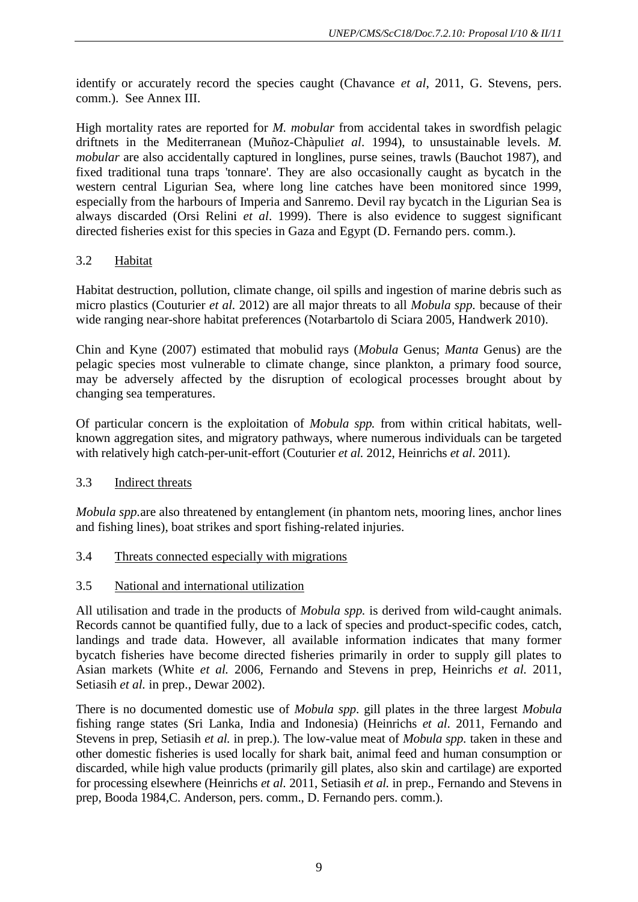identify or accurately record the species caught (Chavance *et al*, 2011, G. Stevens, pers. comm.). See Annex III.

High mortality rates are reported for *M. mobular* from accidental takes in swordfish pelagic driftnets in the Mediterranean (Muñoz-Chàpuli*et al*. 1994), to unsustainable levels. *M. mobular* are also accidentally captured in longlines, purse seines, trawls (Bauchot 1987), and fixed traditional tuna traps 'tonnare'. They are also occasionally caught as bycatch in the western central Ligurian Sea, where long line catches have been monitored since 1999, especially from the harbours of Imperia and Sanremo. Devil ray bycatch in the Ligurian Sea is always discarded (Orsi Relini *et al*. 1999). There is also evidence to suggest significant directed fisheries exist for this species in Gaza and Egypt (D. Fernando pers. comm.).

# 3.2 Habitat

Habitat destruction, pollution, climate change, oil spills and ingestion of marine debris such as micro plastics (Couturier *et al.* 2012) are all major threats to all *Mobula spp.* because of their wide ranging near-shore habitat preferences (Notarbartolo di Sciara 2005, Handwerk 2010).

Chin and Kyne (2007) estimated that mobulid rays (*Mobula* Genus; *Manta* Genus) are the pelagic species most vulnerable to climate change, since plankton, a primary food source, may be adversely affected by the disruption of ecological processes brought about by changing sea temperatures.

Of particular concern is the exploitation of *Mobula spp.* from within critical habitats, wellknown aggregation sites, and migratory pathways, where numerous individuals can be targeted with relatively high catch-per-unit-effort (Couturier *et al.* 2012, Heinrichs *et al*. 2011).

# 3.3 Indirect threats

*Mobula spp.*are also threatened by entanglement (in phantom nets, mooring lines, anchor lines and fishing lines), boat strikes and sport fishing-related injuries.

# 3.4 Threats connected especially with migrations

# 3.5 National and international utilization

All utilisation and trade in the products of *Mobula spp.* is derived from wild-caught animals. Records cannot be quantified fully, due to a lack of species and product-specific codes, catch, landings and trade data. However, all available information indicates that many former bycatch fisheries have become directed fisheries primarily in order to supply gill plates to Asian markets (White *et al.* 2006, Fernando and Stevens in prep, Heinrichs *et al.* 2011, Setiasih *et al.* in prep., Dewar 2002).

There is no documented domestic use of *Mobula spp*. gill plates in the three largest *Mobula*  fishing range states (Sri Lanka, India and Indonesia) (Heinrichs *et al*. 2011, Fernando and Stevens in prep, Setiasih *et al.* in prep.). The low-value meat of *Mobula spp.* taken in these and other domestic fisheries is used locally for shark bait, animal feed and human consumption or discarded, while high value products (primarily gill plates, also skin and cartilage) are exported for processing elsewhere (Heinrichs *et al.* 2011, Setiasih *et al.* in prep., Fernando and Stevens in prep, Booda 1984,C. Anderson, pers. comm., D. Fernando pers. comm.).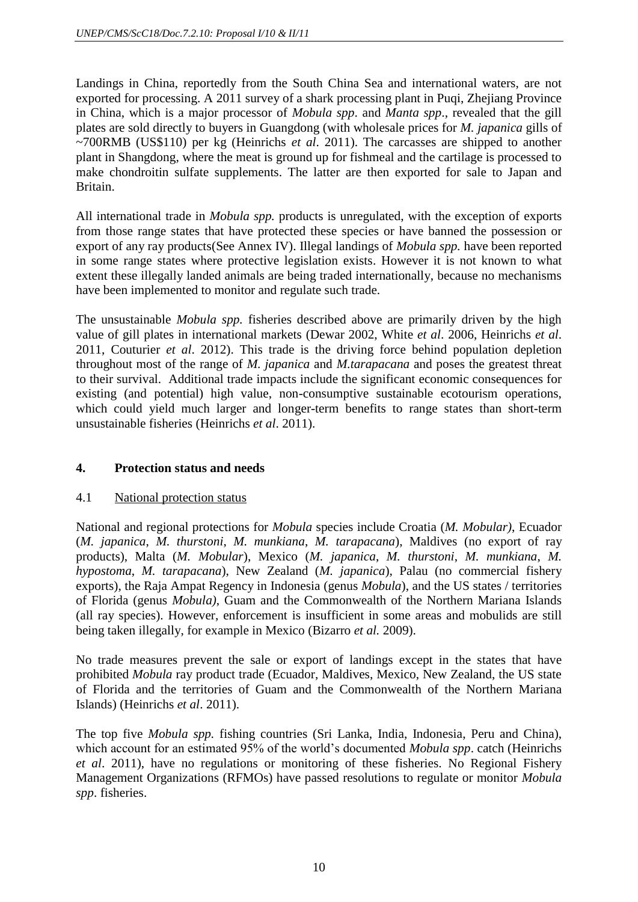Landings in China, reportedly from the South China Sea and international waters, are not exported for processing. A 2011 survey of a shark processing plant in Puqi, Zhejiang Province in China, which is a major processor of *Mobula spp*. and *Manta spp*., revealed that the gill plates are sold directly to buyers in Guangdong (with wholesale prices for *M. japanica* gills of ~700RMB (US\$110) per kg (Heinrichs *et al*. 2011). The carcasses are shipped to another plant in Shangdong, where the meat is ground up for fishmeal and the cartilage is processed to make chondroitin sulfate supplements. The latter are then exported for sale to Japan and Britain.

All international trade in *Mobula spp.* products is unregulated, with the exception of exports from those range states that have protected these species or have banned the possession or export of any ray products(See Annex IV). Illegal landings of *Mobula spp.* have been reported in some range states where protective legislation exists. However it is not known to what extent these illegally landed animals are being traded internationally, because no mechanisms have been implemented to monitor and regulate such trade.

The unsustainable *Mobula spp.* fisheries described above are primarily driven by the high value of gill plates in international markets (Dewar 2002, White *et al*. 2006, Heinrichs *et al*. 2011, Couturier *et al*. 2012). This trade is the driving force behind population depletion throughout most of the range of *M. japanica* and *M.tarapacana* and poses the greatest threat to their survival. Additional trade impacts include the significant economic consequences for existing (and potential) high value, non-consumptive sustainable ecotourism operations, which could yield much larger and longer-term benefits to range states than short-term unsustainable fisheries (Heinrichs *et al*. 2011).

# **4. Protection status and needs**

# 4.1 National protection status

National and regional protections for *Mobula* species include Croatia (*M. Mobular)*, Ecuador (*M. japanica*, *M. thurstoni*, *M. munkiana*, *M. tarapacana*), Maldives (no export of ray products), Malta (*M. Mobular*), Mexico (*M. japanica*, *M. thurstoni*, *M. munkiana*, *M. hypostoma*, *M. tarapacana*), New Zealand (*M. japanica*), Palau (no commercial fishery exports), the Raja Ampat Regency in Indonesia (genus *Mobula*), and the US states / territories of Florida (genus *Mobula)*, Guam and the Commonwealth of the Northern Mariana Islands (all ray species). However, enforcement is insufficient in some areas and mobulids are still being taken illegally, for example in Mexico (Bizarro *et al.* 2009).

No trade measures prevent the sale or export of landings except in the states that have prohibited *Mobula* ray product trade (Ecuador, Maldives, Mexico, New Zealand, the US state of Florida and the territories of Guam and the Commonwealth of the Northern Mariana Islands) (Heinrichs *et al*. 2011).

The top five *Mobula spp.* fishing countries (Sri Lanka, India, Indonesia, Peru and China), which account for an estimated 95% of the world's documented *Mobula spp*. catch (Heinrichs *et al*. 2011), have no regulations or monitoring of these fisheries. No Regional Fishery Management Organizations (RFMOs) have passed resolutions to regulate or monitor *Mobula spp*. fisheries.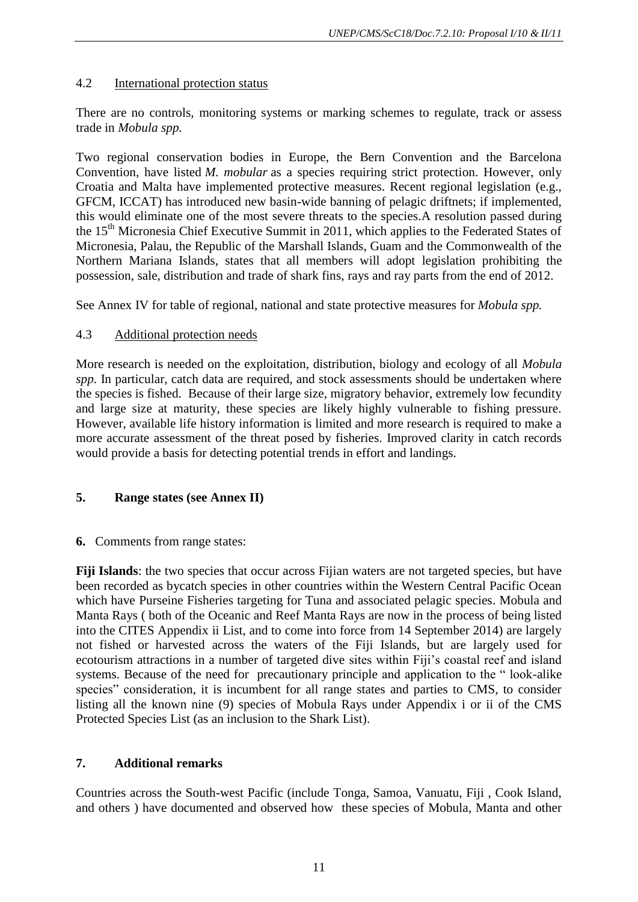# 4.2 International protection status

There are no controls, monitoring systems or marking schemes to regulate, track or assess trade in *Mobula spp.*

Two regional conservation bodies in Europe, the Bern Convention and the Barcelona Convention, have listed *M. mobular* as a species requiring strict protection. However, only Croatia and Malta have implemented protective measures. Recent regional legislation (e.g., GFCM, ICCAT) has introduced new basin-wide banning of pelagic driftnets; if implemented, this would eliminate one of the most severe threats to the species.A resolution passed during the 15<sup>th</sup> Micronesia Chief Executive Summit in 2011, which applies to the Federated States of Micronesia, Palau, the Republic of the Marshall Islands, Guam and the Commonwealth of the Northern Mariana Islands, states that all members will adopt legislation prohibiting the possession, sale, distribution and trade of shark fins, rays and ray parts from the end of 2012.

See Annex IV for table of regional, national and state protective measures for *Mobula spp.*

# 4.3 Additional protection needs

More research is needed on the exploitation, distribution, biology and ecology of all *Mobula spp.* In particular, catch data are required, and stock assessments should be undertaken where the species is fished. Because of their large size, migratory behavior, extremely low fecundity and large size at maturity, these species are likely highly vulnerable to fishing pressure. However, available life history information is limited and more research is required to make a more accurate assessment of the threat posed by fisheries. Improved clarity in catch records would provide a basis for detecting potential trends in effort and landings.

# **5. Range states (see Annex II)**

# **6.** Comments from range states:

**Fiji Islands**: the two species that occur across Fijian waters are not targeted species, but have been recorded as bycatch species in other countries within the Western Central Pacific Ocean which have Purseine Fisheries targeting for Tuna and associated pelagic species. Mobula and Manta Rays ( both of the Oceanic and Reef Manta Rays are now in the process of being listed into the CITES Appendix ii List, and to come into force from 14 September 2014) are largely not fished or harvested across the waters of the Fiji Islands, but are largely used for ecotourism attractions in a number of targeted dive sites within Fiji's coastal reef and island systems. Because of the need for precautionary principle and application to the " look-alike species" consideration, it is incumbent for all range states and parties to CMS, to consider listing all the known nine (9) species of Mobula Rays under Appendix i or ii of the CMS Protected Species List (as an inclusion to the Shark List).

# **7. Additional remarks**

Countries across the South-west Pacific (include Tonga, Samoa, Vanuatu, Fiji , Cook Island, and others ) have documented and observed how these species of Mobula, Manta and other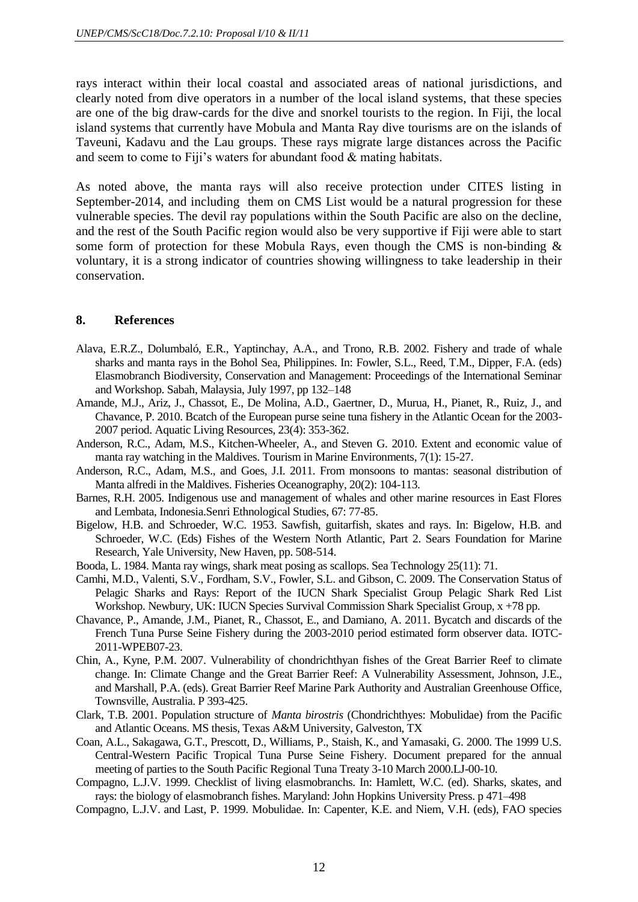rays interact within their local coastal and associated areas of national jurisdictions, and clearly noted from dive operators in a number of the local island systems, that these species are one of the big draw-cards for the dive and snorkel tourists to the region. In Fiji, the local island systems that currently have Mobula and Manta Ray dive tourisms are on the islands of Taveuni, Kadavu and the Lau groups. These rays migrate large distances across the Pacific and seem to come to Fiji's waters for abundant food & mating habitats.

As noted above, the manta rays will also receive protection under CITES listing in September-2014, and including them on CMS List would be a natural progression for these vulnerable species. The devil ray populations within the South Pacific are also on the decline, and the rest of the South Pacific region would also be very supportive if Fiji were able to start some form of protection for these Mobula Rays, even though the CMS is non-binding  $\&$ voluntary, it is a strong indicator of countries showing willingness to take leadership in their conservation.

### **8. References**

- Alava, E.R.Z., Dolumbaló, E.R., Yaptinchay, A.A., and Trono, R.B. 2002. Fishery and trade of whale sharks and manta rays in the Bohol Sea, Philippines. In: Fowler, S.L., Reed, T.M., Dipper, F.A. (eds) Elasmobranch Biodiversity, Conservation and Management: Proceedings of the International Seminar and Workshop. Sabah, Malaysia, July 1997, pp 132–148
- Amande, M.J., Ariz, J., Chassot, E., De Molina, A.D., Gaertner, D., Murua, H., Pianet, R., Ruiz, J., and Chavance, P. 2010. Bcatch of the European purse seine tuna fishery in the Atlantic Ocean for the 2003- 2007 period. Aquatic Living Resources, 23(4): 353-362.
- Anderson, R.C., Adam, M.S., Kitchen-Wheeler, A., and Steven G. 2010. Extent and economic value of manta ray watching in the Maldives. Tourism in Marine Environments, 7(1): 15-27.
- Anderson, R.C., Adam, M.S., and Goes, J.I. 2011. From monsoons to mantas: seasonal distribution of Manta alfredi in the Maldives. Fisheries Oceanography, 20(2): 104-113.
- Barnes, R.H. 2005. Indigenous use and management of whales and other marine resources in East Flores and Lembata, Indonesia.Senri Ethnological Studies, 67: 77-85.
- Bigelow, H.B. and Schroeder, W.C. 1953. Sawfish, guitarfish, skates and rays. In: Bigelow, H.B. and Schroeder, W.C. (Eds) Fishes of the Western North Atlantic, Part 2. Sears Foundation for Marine Research, Yale University, New Haven, pp. 508-514.
- Booda, L. 1984. Manta ray wings, shark meat posing as scallops. Sea Technology 25(11): 71.
- Camhi, M.D., Valenti, S.V., Fordham, S.V., Fowler, S.L. and Gibson, C. 2009. The Conservation Status of Pelagic Sharks and Rays: Report of the IUCN Shark Specialist Group Pelagic Shark Red List Workshop. Newbury, UK: IUCN Species Survival Commission Shark Specialist Group, x +78 pp.
- Chavance, P., Amande, J.M., Pianet, R., Chassot, E., and Damiano, A. 2011. Bycatch and discards of the French Tuna Purse Seine Fishery during the 2003-2010 period estimated form observer data. IOTC-2011-WPEB07-23.
- Chin, A., Kyne, P.M. 2007. Vulnerability of chondrichthyan fishes of the Great Barrier Reef to climate change. In: Climate Change and the Great Barrier Reef: A Vulnerability Assessment, Johnson, J.E., and Marshall, P.A. (eds). Great Barrier Reef Marine Park Authority and Australian Greenhouse Office, Townsville, Australia. P 393-425.
- Clark, T.B. 2001. Population structure of *Manta birostris* (Chondrichthyes: Mobulidae) from the Pacific and Atlantic Oceans. MS thesis, Texas A&M University, Galveston, TX
- Coan, A.L., Sakagawa, G.T., Prescott, D., Williams, P., Staish, K., and Yamasaki, G. 2000. The 1999 U.S. Central-Western Pacific Tropical Tuna Purse Seine Fishery. Document prepared for the annual meeting of parties to the South Pacific Regional Tuna Treaty 3-10 March 2000.LJ-00-10.
- Compagno, L.J.V. 1999. Checklist of living elasmobranchs. In: Hamlett, W.C. (ed). Sharks, skates, and rays: the biology of elasmobranch fishes. Maryland: John Hopkins University Press. p 471–498
- Compagno, L.J.V. and Last, P. 1999. Mobulidae. In: Capenter, K.E. and Niem, V.H. (eds), FAO species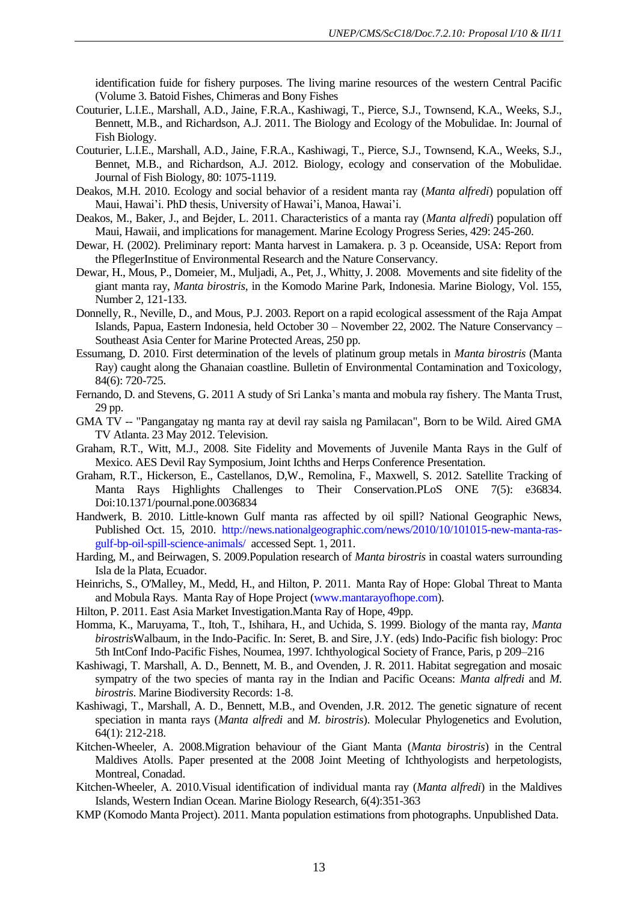identification fuide for fishery purposes. The living marine resources of the western Central Pacific (Volume 3. Batoid Fishes, Chimeras and Bony Fishes

- Couturier, L.I.E., Marshall, A.D., Jaine, F.R.A., Kashiwagi, T., Pierce, S.J., Townsend, K.A., Weeks, S.J., Bennett, M.B., and Richardson, A.J. 2011. The Biology and Ecology of the Mobulidae. In: Journal of Fish Biology.
- Couturier, L.I.E., Marshall, A.D., Jaine, F.R.A., Kashiwagi, T., Pierce, S.J., Townsend, K.A., Weeks, S.J., Bennet, M.B., and Richardson, A.J. 2012. Biology, ecology and conservation of the Mobulidae. Journal of Fish Biology, 80: 1075-1119.
- Deakos, M.H. 2010. Ecology and social behavior of a resident manta ray (*Manta alfredi*) population off Maui, Hawai'i. PhD thesis, University of Hawai'i, Manoa, Hawai'i.
- Deakos, M., Baker, J., and Bejder, L. 2011. Characteristics of a manta ray (*Manta alfredi*) population off Maui, Hawaii, and implications for management. Marine Ecology Progress Series, 429: 245-260.
- Dewar, H. (2002). Preliminary report: Manta harvest in Lamakera. p. 3 p. Oceanside, USA: Report from the PflegerInstitue of Environmental Research and the Nature Conservancy.
- Dewar, H., Mous, P., Domeier, M., Muljadi, A., Pet, J., Whitty, J. 2008. Movements and site fidelity of the giant manta ray, *Manta birostris*, in the Komodo Marine Park, Indonesia. Marine Biology, Vol. 155, Number 2, 121-133.
- Donnelly, R., Neville, D., and Mous, P.J. 2003. Report on a rapid ecological assessment of the Raja Ampat Islands, Papua, Eastern Indonesia, held October 30 – November 22, 2002. The Nature Conservancy – Southeast Asia Center for Marine Protected Areas, 250 pp.
- Essumang, D. 2010. First determination of the levels of platinum group metals in *Manta birostris* (Manta Ray) caught along the Ghanaian coastline. Bulletin of Environmental Contamination and Toxicology, 84(6): 720-725.
- Fernando, D. and Stevens, G. 2011 A study of Sri Lanka's manta and mobula ray fishery. The Manta Trust, 29 pp.
- GMA TV -- "Pangangatay ng manta ray at devil ray saisla ng Pamilacan", Born to be Wild. Aired GMA TV Atlanta. 23 May 2012. Television.
- Graham, R.T., Witt, M.J., 2008. Site Fidelity and Movements of Juvenile Manta Rays in the Gulf of Mexico. AES Devil Ray Symposium, Joint Ichths and Herps Conference Presentation.
- Graham, R.T., Hickerson, E., Castellanos, D,W., Remolina, F., Maxwell, S. 2012. Satellite Tracking of Manta Rays Highlights Challenges to Their Conservation.PLoS ONE 7(5): e36834. Doi:10.1371/pournal.pone.0036834
- Handwerk, B. 2010. Little-known Gulf manta ras affected by oil spill? National Geographic News, Published Oct. 15, 2010. [http://news.nationalgeographic.com/news/2010/10/101015-new-manta-ras](http://news.nationalgeographic.com/news/2010/10/101015-new-manta-ras-gulf-bp-oil-spill-science-animals/)[gulf-bp-oil-spill-science-animals/](http://news.nationalgeographic.com/news/2010/10/101015-new-manta-ras-gulf-bp-oil-spill-science-animals/) accessed Sept. 1, 2011.
- Harding, M., and Beirwagen, S. 2009.Population research of *Manta birostris* in coastal waters surrounding Isla de la Plata, Ecuador.
- Heinrichs, S., O'Malley, M., Medd, H., and Hilton, P. 2011. Manta Ray of Hope: Global Threat to Manta and Mobula Rays. Manta Ray of Hope Project [\(www.mantarayofhope.com\)](http://www.mantarayofhope.com/).
- Hilton, P. 2011. East Asia Market Investigation.Manta Ray of Hope, 49pp.
- Homma, K., Maruyama, T., Itoh, T., Ishihara, H., and Uchida, S. 1999. Biology of the manta ray, *Manta birostris*Walbaum, in the Indo-Pacific. In: Seret, B. and Sire, J.Y. (eds) Indo-Pacific fish biology: Proc 5th IntConf Indo-Pacific Fishes, Noumea, 1997. Ichthyological Society of France, Paris, p 209–216
- Kashiwagi, T. Marshall, A. D., Bennett, M. B., and Ovenden, J. R. 2011. Habitat segregation and mosaic sympatry of the two species of manta ray in the Indian and Pacific Oceans: *Manta alfredi* and *M. birostris*. Marine Biodiversity Records: 1-8.
- Kashiwagi, T., Marshall, A. D., Bennett, M.B., and Ovenden, J.R. 2012. The genetic signature of recent speciation in manta rays (*Manta alfredi* and *M. birostris*). Molecular Phylogenetics and Evolution, 64(1): 212-218.
- Kitchen-Wheeler, A. 2008.Migration behaviour of the Giant Manta (*Manta birostris*) in the Central Maldives Atolls. Paper presented at the 2008 Joint Meeting of Ichthyologists and herpetologists, Montreal, Conadad.
- Kitchen-Wheeler, A. 2010.Visual identification of individual manta ray (*Manta alfredi*) in the Maldives Islands, Western Indian Ocean. Marine Biology Research*,* 6(4):351-363
- KMP (Komodo Manta Project). 2011. Manta population estimations from photographs. Unpublished Data.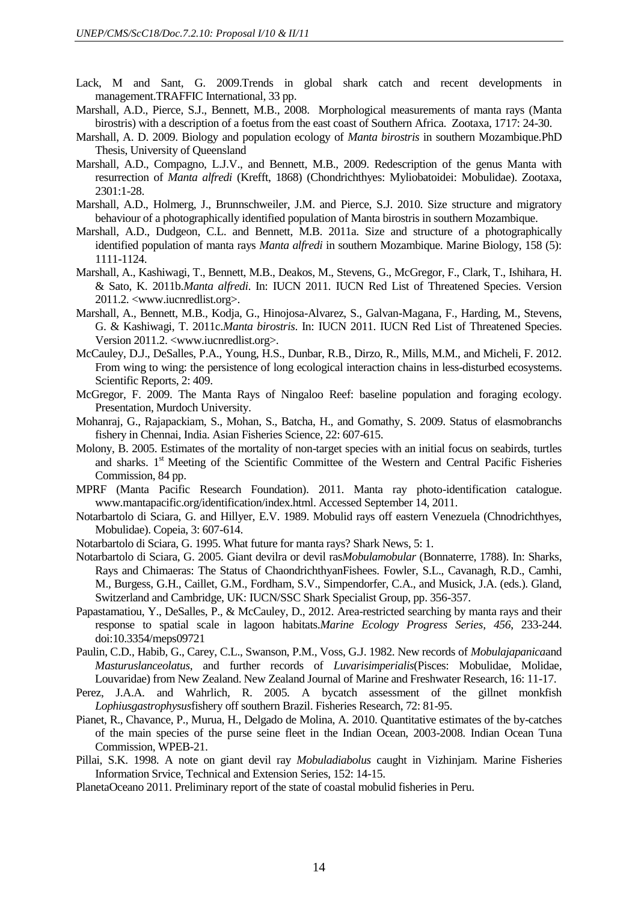- Lack, M and Sant, G. 2009.Trends in global shark catch and recent developments in management.TRAFFIC International, 33 pp.
- Marshall, A.D., Pierce, S.J., Bennett, M.B., 2008. Morphological measurements of manta rays (Manta birostris) with a description of a foetus from the east coast of Southern Africa. Zootaxa, 1717: 24-30.
- Marshall, A. D. 2009. Biology and population ecology of *Manta birostris* in southern Mozambique*.*PhD Thesis, University of Queensland
- Marshall, A.D., Compagno, L.J.V., and Bennett, M.B., 2009. Redescription of the genus Manta with resurrection of *Manta alfredi* (Krefft, 1868) (Chondrichthyes: Myliobatoidei: Mobulidae). Zootaxa, 2301:1-28.
- Marshall, A.D., Holmerg, J., Brunnschweiler, J.M. and Pierce, S.J. 2010. Size structure and migratory behaviour of a photographically identified population of Manta birostris in southern Mozambique.
- Marshall, A.D., Dudgeon, C.L. and Bennett, M.B. 2011a. Size and structure of a photographically identified population of manta rays *Manta alfredi* in southern Mozambique. Marine Biology, 158 (5): 1111-1124.
- Marshall, A., Kashiwagi, T., Bennett, M.B., Deakos, M., Stevens, G., McGregor, F., Clark, T., Ishihara, H. & Sato, K. 2011b.*Manta alfredi*. In: IUCN 2011. IUCN Red List of Threatened Species. Version 2011.2. <www.iucnredlist.org>.
- Marshall, A., Bennett, M.B., Kodja, G., Hinojosa-Alvarez, S., Galvan-Magana, F., Harding, M., Stevens, G. & Kashiwagi, T. 2011c.*Manta birostris*. In: IUCN 2011. IUCN Red List of Threatened Species. Version 2011.2. <www.iucnredlist.org>.
- McCauley, D.J., DeSalles, P.A., Young, H.S., Dunbar, R.B., Dirzo, R., Mills, M.M., and Micheli, F. 2012. From wing to wing: the persistence of long ecological interaction chains in less-disturbed ecosystems. Scientific Reports, 2: 409.
- McGregor, F. 2009. The Manta Rays of Ningaloo Reef: baseline population and foraging ecology. Presentation, Murdoch University.
- Mohanraj, G., Rajapackiam, S., Mohan, S., Batcha, H., and Gomathy, S. 2009. Status of elasmobranchs fishery in Chennai, India. Asian Fisheries Science, 22: 607-615.
- Molony, B. 2005. Estimates of the mortality of non-target species with an initial focus on seabirds, turtles and sharks. 1<sup>st</sup> Meeting of the Scientific Committee of the Western and Central Pacific Fisheries Commission, 84 pp.
- MPRF (Manta Pacific Research Foundation). 2011. Manta ray photo-identification catalogue. www.mantapacific.org/identification/index.html. Accessed September 14, 2011.
- Notarbartolo di Sciara, G. and Hillyer, E.V. 1989. Mobulid rays off eastern Venezuela (Chnodrichthyes, Mobulidae). Copeia, 3: 607-614.
- Notarbartolo di Sciara, G. 1995. What future for manta rays? Shark News, 5: 1.
- Notarbartolo di Sciara, G. 2005. Giant devilra or devil ras*Mobulamobular* (Bonnaterre, 1788). In: Sharks, Rays and Chimaeras: The Status of ChaondrichthyanFishees. Fowler, S.L., Cavanagh, R.D., Camhi, M., Burgess, G.H., Caillet, G.M., Fordham, S.V., Simpendorfer, C.A., and Musick, J.A. (eds.). Gland, Switzerland and Cambridge, UK: IUCN/SSC Shark Specialist Group, pp. 356-357.
- Papastamatiou, Y., DeSalles, P., & McCauley, D., 2012. Area-restricted searching by manta rays and their response to spatial scale in lagoon habitats.*Marine Ecology Progress Series*, *456*, 233-244. doi:10.3354/meps09721
- Paulin, C.D., Habib, G., Carey, C.L., Swanson, P.M., Voss, G.J. 1982. New records of *Mobulajapanica*and *Masturuslanceolatus*, and further records of *Luvarisimperialis*(Pisces: Mobulidae, Molidae, Louvaridae) from New Zealand. New Zealand Journal of Marine and Freshwater Research, 16: 11-17.
- Perez, J.A.A. and Wahrlich, R. 2005. A bycatch assessment of the gillnet monkfish *Lophiusgastrophysus*fishery off southern Brazil. Fisheries Research, 72: 81-95.
- Pianet, R., Chavance, P., Murua, H., Delgado de Molina, A. 2010. Quantitative estimates of the by-catches of the main species of the purse seine fleet in the Indian Ocean, 2003-2008. Indian Ocean Tuna Commission, WPEB-21.
- Pillai, S.K. 1998. A note on giant devil ray *Mobuladiabolus* caught in Vizhinjam. Marine Fisheries Information Srvice, Technical and Extension Series, 152: 14-15.
- PlanetaOceano 2011. Preliminary report of the state of coastal mobulid fisheries in Peru.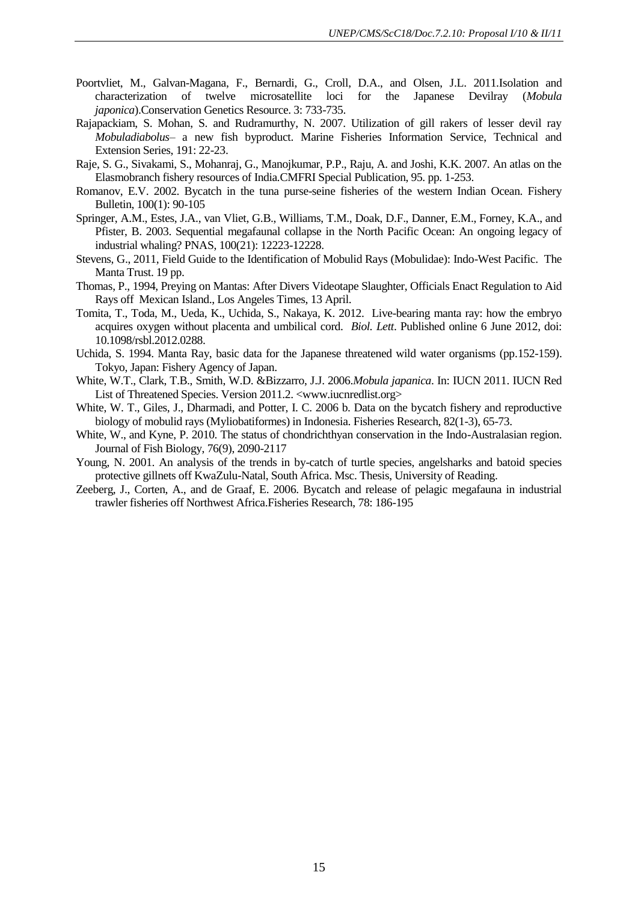- Poortvliet, M., Galvan-Magana, F., Bernardi, G., Croll, D.A., and Olsen, J.L. 2011.Isolation and characterization of twelve microsatellite loci for the Japanese Devilray (*Mobula japonica*).Conservation Genetics Resource. 3: 733-735.
- Rajapackiam, S. Mohan, S. and Rudramurthy, N. 2007. Utilization of gill rakers of lesser devil ray *Mobuladiabolus*– a new fish byproduct. Marine Fisheries Information Service, Technical and Extension Series, 191: 22-23.
- Raje, S. G., Sivakami, S., Mohanraj, G., Manojkumar, P.P., Raju, A. and Joshi, K.K. 2007. An atlas on the Elasmobranch fishery resources of India*.*CMFRI Special Publication, 95. pp. 1-253.
- Romanov, E.V. 2002. Bycatch in the tuna purse-seine fisheries of the western Indian Ocean. Fishery Bulletin, 100(1): 90-105
- Springer, A.M., Estes, J.A., van Vliet, G.B., Williams, T.M., Doak, D.F., Danner, E.M., Forney, K.A., and Pfister, B. 2003. Sequential megafaunal collapse in the North Pacific Ocean: An ongoing legacy of industrial whaling? PNAS, 100(21): 12223-12228.
- Stevens, G., 2011, Field Guide to the Identification of Mobulid Rays (Mobulidae): Indo-West Pacific. The Manta Trust. 19 pp.
- Thomas, P., 1994, Preying on Mantas: After Divers Videotape Slaughter, Officials Enact Regulation to Aid Rays off Mexican Island., Los Angeles Times, 13 April.
- Tomita, T., Toda, M., Ueda, K., Uchida, S., Nakaya, K. 2012. Live-bearing manta ray: how the embryo acquires oxygen without placenta and umbilical cord. *Biol. Lett*. Published online 6 June 2012, doi: 10.1098/rsbl.2012.0288.
- Uchida, S. 1994. Manta Ray, basic data for the Japanese threatened wild water organisms (pp.152-159). Tokyo, Japan: Fishery Agency of Japan.
- White, W.T., Clark, T.B., Smith, W.D. &Bizzarro, J.J. 2006.*Mobula japanica*. In: IUCN 2011. IUCN Red List of Threatened Species. Version 2011.2. <www.iucnredlist.org>
- White, W. T., Giles, J., Dharmadi, and Potter, I. C. 2006 b. Data on the bycatch fishery and reproductive biology of mobulid rays (Myliobatiformes) in Indonesia. Fisheries Research, 82(1-3), 65-73.
- White, W., and Kyne, P. 2010. The status of chondrichthyan conservation in the Indo-Australasian region. Journal of Fish Biology, 76(9), 2090-2117
- Young, N. 2001. An analysis of the trends in by-catch of turtle species, angelsharks and batoid species protective gillnets off KwaZulu-Natal, South Africa. Msc. Thesis, University of Reading.
- Zeeberg, J., Corten, A., and de Graaf, E. 2006. Bycatch and release of pelagic megafauna in industrial trawler fisheries off Northwest Africa.Fisheries Research, 78: 186-195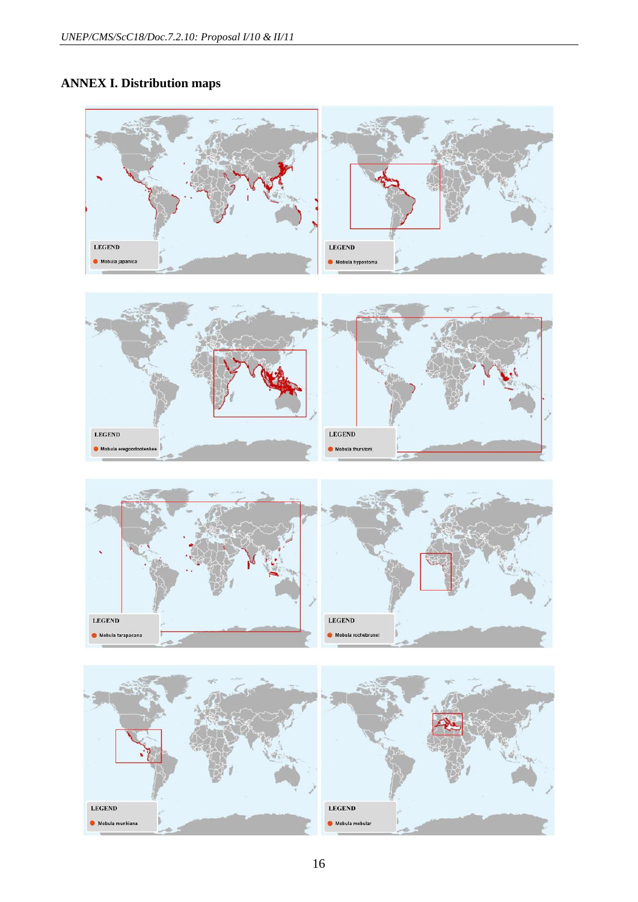# **ANNEX I. Distribution maps**

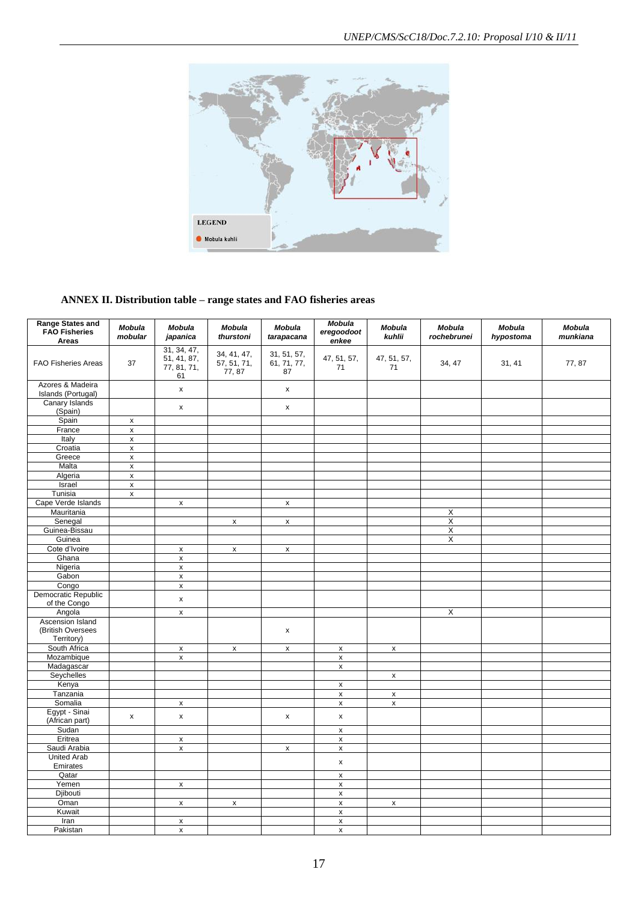

# **ANNEX II. Distribution table – range states and FAO fisheries areas**

| <b>Range States and</b>                |                    |                                                 |                                      |                                  | Mobula              |                    |                              |                     |                           |
|----------------------------------------|--------------------|-------------------------------------------------|--------------------------------------|----------------------------------|---------------------|--------------------|------------------------------|---------------------|---------------------------|
| <b>FAO Fisheries</b><br>Areas          | Mobula<br>mobular  | <b>Mobula</b><br>japanica                       | <b>Mobula</b><br>thurstoni           | <b>Mobula</b><br>tarapacana      | eregoodoot<br>enkee | Mobula<br>kuhlii   | <b>Mobula</b><br>rochebrunei | Mobula<br>hypostoma | <b>Mobula</b><br>munkiana |
| <b>FAO Fisheries Areas</b>             | 37                 | 31, 34, 47,<br>51, 41, 87,<br>77, 81, 71,<br>61 | 34, 41, 47,<br>57, 51, 71,<br>77, 87 | 31, 51, 57,<br>61, 71, 77,<br>87 | 47, 51, 57,<br>71   | 47, 51, 57,<br>71  | 34, 47                       | 31, 41              | 77,87                     |
| Azores & Madeira<br>Islands (Portugal) |                    | $\pmb{\mathsf{x}}$                              |                                      | $\pmb{\mathsf{x}}$               |                     |                    |                              |                     |                           |
| Canary Islands<br>(Spain)              |                    | x                                               |                                      | $\pmb{\mathsf{x}}$               |                     |                    |                              |                     |                           |
| Spain                                  | $\pmb{\mathsf{x}}$ |                                                 |                                      |                                  |                     |                    |                              |                     |                           |
| France                                 | $\pmb{\mathsf{x}}$ |                                                 |                                      |                                  |                     |                    |                              |                     |                           |
| Italy                                  | X                  |                                                 |                                      |                                  |                     |                    |                              |                     |                           |
| Croatia                                | $\pmb{\mathsf{x}}$ |                                                 |                                      |                                  |                     |                    |                              |                     |                           |
| Greece                                 | $\pmb{\mathsf{x}}$ |                                                 |                                      |                                  |                     |                    |                              |                     |                           |
| Malta                                  | $\pmb{\times}$     |                                                 |                                      |                                  |                     |                    |                              |                     |                           |
| Algeria                                | $\pmb{\mathsf{x}}$ |                                                 |                                      |                                  |                     |                    |                              |                     |                           |
| Israel                                 | $\pmb{\mathsf{x}}$ |                                                 |                                      |                                  |                     |                    |                              |                     |                           |
| Tunisia                                | $\pmb{\mathsf{x}}$ |                                                 |                                      |                                  |                     |                    |                              |                     |                           |
| Cape Verde Islands                     |                    | X                                               |                                      | x                                |                     |                    |                              |                     |                           |
| Mauritania                             |                    |                                                 |                                      |                                  |                     |                    | $\overline{\mathsf{x}}$      |                     |                           |
| Senegal                                |                    |                                                 | $\pmb{\mathsf{x}}$                   | $\pmb{\mathsf{x}}$               |                     |                    | $\overline{\mathsf{x}}$      |                     |                           |
| Guinea-Bissau                          |                    |                                                 |                                      |                                  |                     |                    | X                            |                     |                           |
| Guinea                                 |                    |                                                 |                                      |                                  |                     |                    | X                            |                     |                           |
| Cote d'Ivoire                          |                    | X                                               | $\pmb{\mathsf{x}}$                   | $\pmb{\mathsf{x}}$               |                     |                    |                              |                     |                           |
| Ghana                                  |                    | $\pmb{\chi}$                                    |                                      |                                  |                     |                    |                              |                     |                           |
| Nigeria                                |                    | $\pmb{\times}$                                  |                                      |                                  |                     |                    |                              |                     |                           |
| Gabon                                  |                    | $\pmb{\mathsf{x}}$                              |                                      |                                  |                     |                    |                              |                     |                           |
| Congo                                  |                    | $\pmb{\mathsf{x}}$                              |                                      |                                  |                     |                    |                              |                     |                           |
| Democratic Republic<br>of the Congo    |                    | $\pmb{\mathsf{x}}$                              |                                      |                                  |                     |                    |                              |                     |                           |
| Angola                                 |                    | $\pmb{\times}$                                  |                                      |                                  |                     |                    | $\overline{\mathsf{x}}$      |                     |                           |
| Ascension Island                       |                    |                                                 |                                      |                                  |                     |                    |                              |                     |                           |
| (British Oversees                      |                    |                                                 |                                      | x                                |                     |                    |                              |                     |                           |
| Territory)                             |                    |                                                 |                                      |                                  |                     |                    |                              |                     |                           |
| South Africa                           |                    | $\pmb{\mathsf{x}}$                              | $\pmb{\mathsf{x}}$                   | x                                | $\pmb{\mathsf{x}}$  | $\pmb{\mathsf{x}}$ |                              |                     |                           |
| Mozambique                             |                    | $\pmb{\mathsf{x}}$                              |                                      |                                  | $\pmb{\mathsf{x}}$  |                    |                              |                     |                           |
| Madagascar                             |                    |                                                 |                                      |                                  | x                   |                    |                              |                     |                           |
| Seychelles                             |                    |                                                 |                                      |                                  |                     | $\pmb{\mathsf{x}}$ |                              |                     |                           |
| Kenya                                  |                    |                                                 |                                      |                                  | $\pmb{\mathsf{x}}$  |                    |                              |                     |                           |
| Tanzania                               |                    |                                                 |                                      |                                  | $\pmb{\mathsf{x}}$  | $\pmb{\mathsf{x}}$ |                              |                     |                           |
| Somalia                                |                    | X                                               |                                      |                                  | X                   | $\pmb{\mathsf{x}}$ |                              |                     |                           |
| Egypt - Sinai<br>(African part)        | $\pmb{\mathsf{x}}$ | $\pmb{\mathsf{x}}$                              |                                      | $\pmb{\mathsf{x}}$               | $\pmb{\mathsf{x}}$  |                    |                              |                     |                           |
| Sudan                                  |                    |                                                 |                                      |                                  | X                   |                    |                              |                     |                           |
| Eritrea                                |                    | X                                               |                                      |                                  | $\pmb{\mathsf{x}}$  |                    |                              |                     |                           |
| Saudi Arabia                           |                    | $\pmb{\mathsf{x}}$                              |                                      | $\pmb{\mathsf{x}}$               | $\pmb{\mathsf{x}}$  |                    |                              |                     |                           |
| <b>United Arab</b>                     |                    |                                                 |                                      |                                  | X                   |                    |                              |                     |                           |
| Emirates                               |                    |                                                 |                                      |                                  |                     |                    |                              |                     |                           |
| Qatar                                  |                    |                                                 |                                      |                                  | $\pmb{\mathsf{x}}$  |                    |                              |                     |                           |
| Yemen                                  |                    | $\pmb{\mathsf{X}}$                              |                                      |                                  | $\pmb{\mathsf{x}}$  |                    |                              |                     |                           |
| Djibouti                               |                    |                                                 |                                      |                                  | x                   |                    |                              |                     |                           |
| Oman                                   |                    | x                                               | x                                    |                                  | $\pmb{\mathsf{x}}$  | $\pmb{\mathsf{x}}$ |                              |                     |                           |
| Kuwait                                 |                    |                                                 |                                      |                                  | $\mathsf X$         |                    |                              |                     |                           |
| Iran                                   |                    | X                                               |                                      |                                  | $\pmb{\mathsf{x}}$  |                    |                              |                     |                           |
| Pakistan                               |                    | $\pmb{\mathsf{x}}$                              |                                      |                                  | $\pmb{\mathsf{x}}$  |                    |                              |                     |                           |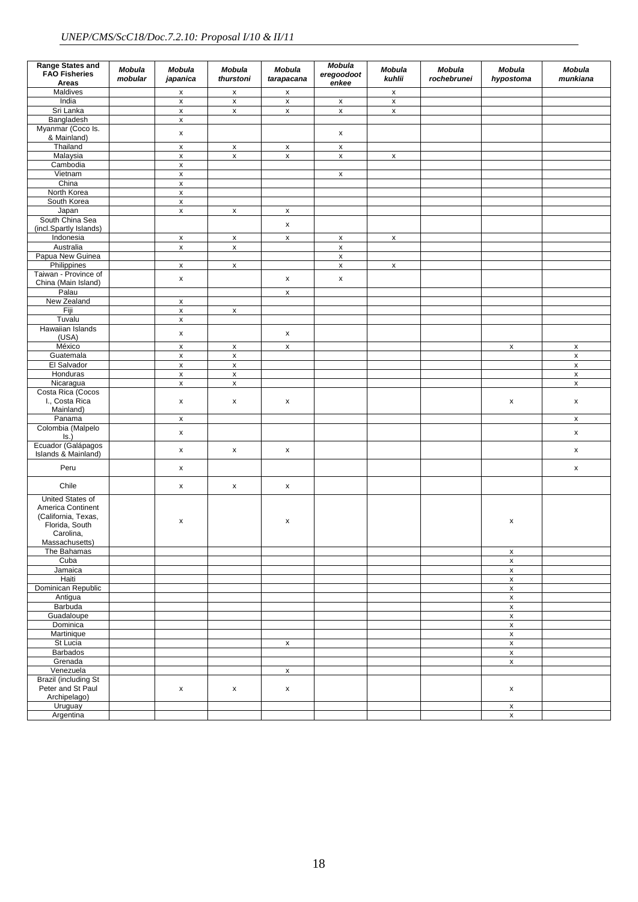| <b>Range States and</b><br><b>FAO Fisheries</b><br>Areas                                                      | Mobula<br>mobular | <b>Mobula</b><br>japanica                | <b>Mobula</b><br>thurstoni | Mobula<br>tarapacana | <b>Mobula</b><br>eregoodoot<br>enkee | <b>Mobula</b><br>kuhlii | <b>Mobula</b><br>rochebrunei | <b>Mobula</b><br>hypostoma        | <b>Mobula</b><br>munkiana |
|---------------------------------------------------------------------------------------------------------------|-------------------|------------------------------------------|----------------------------|----------------------|--------------------------------------|-------------------------|------------------------------|-----------------------------------|---------------------------|
| Maldives                                                                                                      |                   | $\pmb{\mathsf{x}}$                       | $\pmb{\mathsf{x}}$         | x                    |                                      | $\pmb{\mathsf{x}}$      |                              |                                   |                           |
| India                                                                                                         |                   | $\pmb{\times}$                           | $\pmb{\times}$             | $\pmb{\mathsf{x}}$   | $\pmb{\mathsf{x}}$                   | $\pmb{\mathsf{x}}$      |                              |                                   |                           |
| Sri Lanka                                                                                                     |                   | $\pmb{\mathsf{x}}$                       | $\pmb{\mathsf{x}}$         | x                    | $\pmb{\mathsf{x}}$                   | $\pmb{\mathsf{x}}$      |                              |                                   |                           |
| Bangladesh                                                                                                    |                   | x                                        |                            |                      |                                      |                         |                              |                                   |                           |
| Myanmar (Coco Is.<br>& Mainland)                                                                              |                   | $\pmb{\mathsf{x}}$                       |                            |                      | X                                    |                         |                              |                                   |                           |
| Thailand                                                                                                      |                   | $\pmb{\times}$                           | $\pmb{\mathsf{x}}$         | X                    | $\pmb{\mathsf{x}}$                   |                         |                              |                                   |                           |
| Malaysia                                                                                                      |                   | $\pmb{\mathsf{x}}$                       | $\pmb{\times}$             | x                    | $\pmb{\mathsf{x}}$                   | $\pmb{\mathsf{x}}$      |                              |                                   |                           |
| Cambodia                                                                                                      |                   | x                                        |                            |                      |                                      |                         |                              |                                   |                           |
| Vietnam                                                                                                       |                   | $\pmb{\mathsf{x}}$                       |                            |                      | X                                    |                         |                              |                                   |                           |
| China<br>North Korea                                                                                          |                   | X                                        |                            |                      |                                      |                         |                              |                                   |                           |
| South Korea                                                                                                   |                   | $\pmb{\mathsf{x}}$<br>$\pmb{\mathsf{x}}$ |                            |                      |                                      |                         |                              |                                   |                           |
| Japan                                                                                                         |                   | $\pmb{\mathsf{x}}$                       | $\pmb{\mathsf{x}}$         | X                    |                                      |                         |                              |                                   |                           |
| South China Sea                                                                                               |                   |                                          |                            |                      |                                      |                         |                              |                                   |                           |
| (incl.Spartly Islands)                                                                                        |                   |                                          |                            | x                    |                                      |                         |                              |                                   |                           |
| Indonesia                                                                                                     |                   | $\pmb{\mathsf{x}}$                       | X                          | x                    | X                                    | X                       |                              |                                   |                           |
| Australia                                                                                                     |                   | x                                        | $\pmb{\mathsf{x}}$         |                      | X                                    |                         |                              |                                   |                           |
| Papua New Guinea                                                                                              |                   |                                          |                            |                      | $\pmb{\mathsf{x}}$                   |                         |                              |                                   |                           |
| Philippines                                                                                                   |                   | $\pmb{\mathsf{x}}$                       | $\pmb{\mathsf{x}}$         |                      | $\pmb{\mathsf{x}}$                   | $\pmb{\mathsf{x}}$      |                              |                                   |                           |
| Taiwan - Province of                                                                                          |                   | x                                        |                            | x                    | X                                    |                         |                              |                                   |                           |
| China (Main Island)<br>Palau                                                                                  |                   |                                          |                            |                      |                                      |                         |                              |                                   |                           |
| New Zealand                                                                                                   |                   |                                          |                            | x                    |                                      |                         |                              |                                   |                           |
| Fiji                                                                                                          |                   | X<br>$\pmb{\mathsf{x}}$                  | $\pmb{\mathsf{x}}$         |                      |                                      |                         |                              |                                   |                           |
| Tuvalu                                                                                                        |                   | X                                        |                            |                      |                                      |                         |                              |                                   |                           |
| Hawaiian Islands                                                                                              |                   |                                          |                            |                      |                                      |                         |                              |                                   |                           |
| (USA)                                                                                                         |                   | X                                        |                            | x                    |                                      |                         |                              |                                   |                           |
| México                                                                                                        |                   | $\pmb{\times}$                           | $\pmb{\mathsf{x}}$         | x                    |                                      |                         |                              | X                                 | $\pmb{\mathsf{x}}$        |
| Guatemala                                                                                                     |                   | $\pmb{\times}$                           | $\pmb{\times}$             |                      |                                      |                         |                              |                                   | $\pmb{\mathsf{x}}$        |
| El Salvador                                                                                                   |                   | $\pmb{\mathsf{x}}$                       | $\pmb{\mathsf{x}}$         |                      |                                      |                         |                              |                                   | $\pmb{\mathsf{X}}$        |
| Honduras                                                                                                      |                   | $\pmb{\mathsf{x}}$                       | $\pmb{\times}$             |                      |                                      |                         |                              |                                   | $\pmb{\mathsf{x}}$        |
| Nicaragua                                                                                                     |                   | x                                        | $\pmb{\mathsf{X}}$         |                      |                                      |                         |                              |                                   | $\pmb{\mathsf{x}}$        |
| Costa Rica (Cocos<br>I., Costa Rica<br>Mainland)                                                              |                   | x                                        | X                          | x                    |                                      |                         |                              | x                                 | x                         |
| Panama                                                                                                        |                   | X                                        |                            |                      |                                      |                         |                              |                                   | $\pmb{\mathsf{x}}$        |
| Colombia (Malpelo<br>Is.)                                                                                     |                   | x                                        |                            |                      |                                      |                         |                              |                                   | x                         |
| Ecuador (Galápagos<br>Islands & Mainland)                                                                     |                   | x                                        | $\pmb{\mathsf{x}}$         | x                    |                                      |                         |                              |                                   | x                         |
| Peru                                                                                                          |                   | x                                        |                            |                      |                                      |                         |                              |                                   | x                         |
| Chile                                                                                                         |                   | x                                        | $\pmb{\mathsf{X}}$         | x                    |                                      |                         |                              |                                   |                           |
| United States of<br>America Continent<br>(California, Texas,<br>Florida, South<br>Carolina,<br>Massachusetts) |                   | X                                        |                            | x                    |                                      |                         |                              | x                                 |                           |
| The Bahamas                                                                                                   |                   |                                          |                            |                      |                                      |                         |                              | $\pmb{\mathsf{x}}$                |                           |
| Cuba                                                                                                          |                   |                                          |                            |                      |                                      |                         |                              | $\pmb{\mathsf{x}}$                |                           |
| Jamaica                                                                                                       |                   |                                          |                            |                      |                                      |                         |                              | $\boldsymbol{\mathsf{x}}$         |                           |
| Haiti                                                                                                         |                   |                                          |                            |                      |                                      |                         |                              | $\pmb{\mathsf{x}}$                |                           |
| Dominican Republic                                                                                            |                   |                                          |                            |                      |                                      |                         |                              | $\mathsf{x}$                      |                           |
| Antigua<br>Barbuda                                                                                            |                   |                                          |                            |                      |                                      |                         |                              | $\mathsf x$                       |                           |
| Guadaloupe                                                                                                    |                   |                                          |                            |                      |                                      |                         |                              | $\mathsf x$<br>$\pmb{\mathsf{x}}$ |                           |
| Dominica                                                                                                      |                   |                                          |                            |                      |                                      |                         |                              | $\pmb{\mathsf{x}}$                |                           |
| Martinique                                                                                                    |                   |                                          |                            |                      |                                      |                         |                              | $\pmb{\mathsf{x}}$                |                           |
| St Lucia                                                                                                      |                   |                                          |                            | X                    |                                      |                         |                              | $\pmb{\mathsf{x}}$                |                           |
| <b>Barbados</b>                                                                                               |                   |                                          |                            |                      |                                      |                         |                              | $\mathsf{x}$                      |                           |
| Grenada                                                                                                       |                   |                                          |                            |                      |                                      |                         |                              | $\pmb{\mathsf{x}}$                |                           |
| Venezuela                                                                                                     |                   |                                          |                            | X                    |                                      |                         |                              |                                   |                           |
| <b>Brazil (including St</b><br>Peter and St Paul<br>Archipelago)                                              |                   | x                                        | $\pmb{\mathsf{x}}$         | x                    |                                      |                         |                              | x                                 |                           |
| Uruguay                                                                                                       |                   |                                          |                            |                      |                                      |                         |                              | X                                 |                           |
| Argentina                                                                                                     |                   |                                          |                            |                      |                                      |                         |                              | $\mathsf X$                       |                           |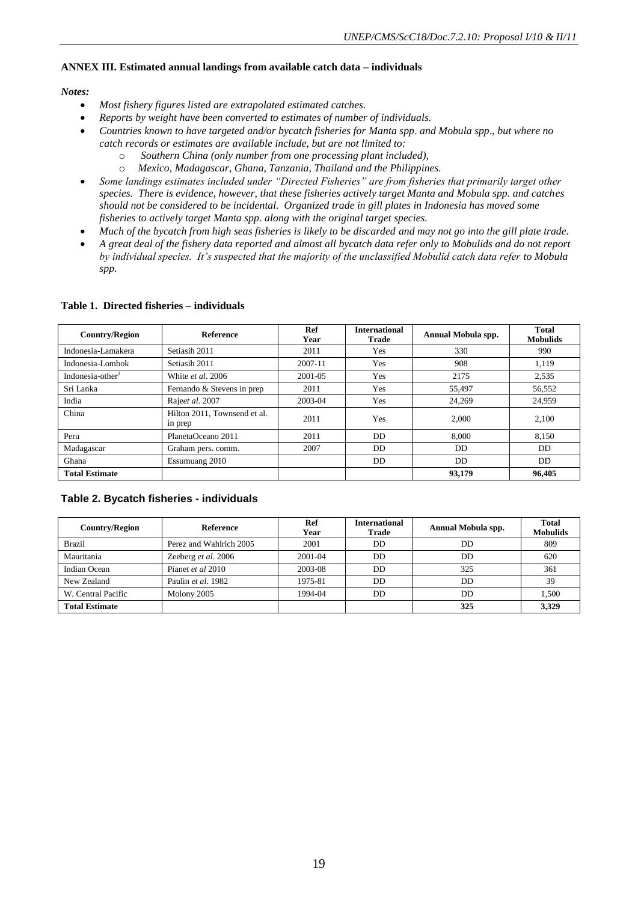#### **ANNEX III. Estimated annual landings from available catch data – individuals**

#### *Notes:*

- *Most fishery figures listed are extrapolated estimated catches.*
- *Reports by weight have been converted to estimates of number of individuals.*
- *Countries known to have targeted and/or bycatch fisheries for Manta spp*. *and Mobula spp*., *but where no catch records or estimates are available include, but are not limited to:* 
	- o *Southern China (only number from one processing plant included),*
	- o *Mexico, Madagascar, Ghana, Tanzania, Thailand and the Philippines.*
- *Some landings estimates included under "Directed Fisheries" are from fisheries that primarily target other species. There is evidence, however, that these fisheries actively target Manta and Mobula spp. and catches should not be considered to be incidental. Organized trade in gill plates in Indonesia has moved some fisheries to actively target Manta spp*. *along with the original target species.*
- *Much of the bycatch from high seas fisheries is likely to be discarded and may not go into the gill plate trade.*
- *A great deal of the fishery data reported and almost all bycatch data refer only to Mobulids and do not report by individual species. It's suspected that the majority of the unclassified Mobulid catch data refer to Mobula spp.*

| <b>Reference</b><br><b>Country/Region</b>        |                            | Ref<br>Year | <b>International</b><br>Trade | Annual Mobula spp. | Total<br><b>Mobulids</b> |
|--------------------------------------------------|----------------------------|-------------|-------------------------------|--------------------|--------------------------|
| Indonesia-Lamakera                               | Setiasih 2011              | 2011        | Yes                           | 330                | 990                      |
| Indonesia-Lombok                                 | Setiasih 2011              | 2007-11     | Yes                           | 908                | 1.119                    |
| Indonesia-other                                  | White <i>et al.</i> 2006   | 2001-05     | Yes                           | 2175               | 2,535                    |
| Sri Lanka                                        | Fernando & Stevens in prep |             | Yes                           | 55,497             | 56,552                   |
| India                                            | Rajeet al. 2007            | 2003-04     | Yes                           | 24,269             | 24.959                   |
| Hilton 2011, Townsend et al.<br>China<br>in prep |                            | 2011        | <b>Yes</b>                    | 2.000              | 2.100                    |
| Peru                                             | PlanetaOceano 2011         | 2011        | DD.                           | 8.000              | 8,150                    |
| Madagascar                                       | Graham pers. comm.         |             | <b>DD</b>                     | DD                 | DD                       |
| Essumuang 2010<br>Ghana                          |                            |             | <b>DD</b>                     | DD.                | DD.                      |
| <b>Total Estimate</b>                            |                            |             |                               | 93,179             | 96.405                   |

#### **Table 1. Directed fisheries – individuals**

#### **Table 2. Bycatch fisheries - individuals**

| <b>Country/Region</b> | Reference               | Ref<br>Year | <b>International</b><br>Trade | Annual Mobula spp. | <b>Total</b><br><b>Mobulids</b> |
|-----------------------|-------------------------|-------------|-------------------------------|--------------------|---------------------------------|
| <b>Brazil</b>         | Perez and Wahlrich 2005 | 2001        | DD                            | DD                 | 809                             |
| Mauritania            | Zeeberg et al. 2006     | 2001-04     | DD.                           | DD                 | 620                             |
| Indian Ocean          | Pianet et al 2010       | 2003-08     | DD                            | 325                | 361                             |
| New Zealand           | Paulin et al. 1982      | 1975-81     | <b>DD</b>                     | DD                 | 39                              |
| W. Central Pacific    | Molony 2005             | 1994-04     | DD                            | DD                 | 1.500                           |
| <b>Total Estimate</b> |                         |             |                               | 325                | 3,329                           |